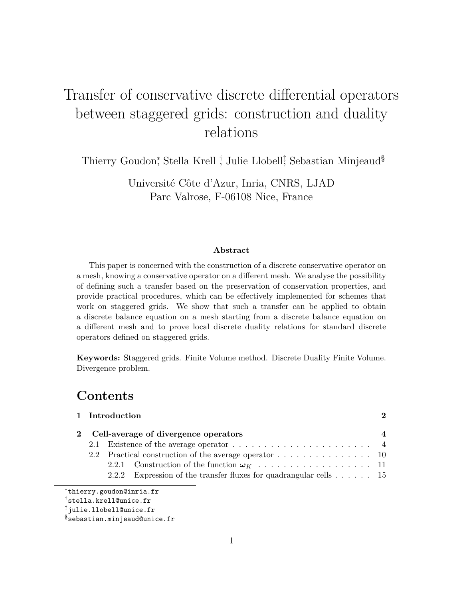# Transfer of conservative discrete differential operators between staggered grids: construction and duality relations

Thierry Goudon,<sup>\*</sup> Stella Krell <sup>†</sup>, Julie Llobell<sup>‡</sup>, Sebastian Minjeaud<sup>§</sup>

Université Côte d'Azur, Inria, CNRS, LJAD Parc Valrose, F-06108 Nice, France

### **Abstract**

This paper is concerned with the construction of a discrete conservative operator on a mesh, knowing a conservative operator on a different mesh. We analyse the possibility of defining such a transfer based on the preservation of conservation properties, and provide practical procedures, which can be effectively implemented for schemes that work on staggered grids. We show that such a transfer can be applied to obtain a discrete balance equation on a mesh starting from a discrete balance equation on a different mesh and to prove local discrete duality relations for standard discrete operators defined on staggered grids.

**Keywords:** Staggered grids. Finite Volume method. Discrete Duality Finite Volume. Divergence problem.

# **Contents**

|                                                       | 1 Introduction<br>2 Cell-average of divergence operators |  |                                                                                 |  |  |  |
|-------------------------------------------------------|----------------------------------------------------------|--|---------------------------------------------------------------------------------|--|--|--|
|                                                       |                                                          |  |                                                                                 |  |  |  |
|                                                       |                                                          |  |                                                                                 |  |  |  |
| 2.2 Practical construction of the average operator 10 |                                                          |  |                                                                                 |  |  |  |
|                                                       |                                                          |  |                                                                                 |  |  |  |
|                                                       |                                                          |  | 2.2.2 Expression of the transfer fluxes for quadrangular cells $\dots \dots$ 15 |  |  |  |
|                                                       |                                                          |  |                                                                                 |  |  |  |

<sup>∗</sup>thierry.goudon@inria.fr

<sup>†</sup>stella.krell@unice.fr

<sup>‡</sup>julie.llobell@unice.fr

<sup>§</sup>sebastian.minjeaud@unice.fr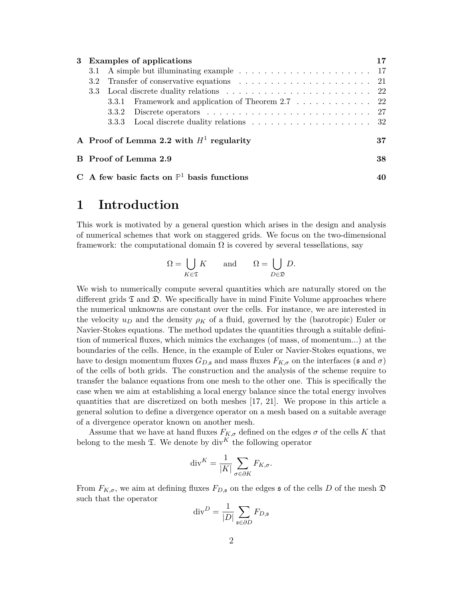| 3 Examples of applications                            |  |                                                                                              |    |
|-------------------------------------------------------|--|----------------------------------------------------------------------------------------------|----|
|                                                       |  |                                                                                              |    |
|                                                       |  |                                                                                              |    |
|                                                       |  |                                                                                              |    |
|                                                       |  | 3.3.1 Framework and application of Theorem 2.7 22                                            |    |
|                                                       |  | 3.3.2 Discrete operators $\ldots \ldots \ldots \ldots \ldots \ldots \ldots \ldots \ldots 27$ |    |
|                                                       |  |                                                                                              |    |
| A Proof of Lemma 2.2 with $H^1$ regularity            |  |                                                                                              |    |
|                                                       |  | B Proof of Lemma 2.9                                                                         | 38 |
| C A few basic facts on $\mathbb{P}^1$ basis functions |  |                                                                                              |    |

# **1 Introduction**

This work is motivated by a general question which arises in the design and analysis of numerical schemes that work on staggered grids. We focus on the two-dimensional framework: the computational domain  $\Omega$  is covered by several tessellations, say

$$
\Omega = \bigcup_{K \in \mathfrak{T}} K \quad \text{and} \quad \Omega = \bigcup_{D \in \mathfrak{D}} D.
$$

We wish to numerically compute several quantities which are naturally stored on the different grids  $\mathfrak T$  and  $\mathfrak D$ . We specifically have in mind Finite Volume approaches where the numerical unknowns are constant over the cells. For instance, we are interested in the velocity  $u_D$  and the density  $\rho_K$  of a fluid, governed by the (barotropic) Euler or Navier-Stokes equations. The method updates the quantities through a suitable definition of numerical fluxes, which mimics the exchanges (of mass, of momentum...) at the boundaries of the cells. Hence, in the example of Euler or Navier-Stokes equations, we have to design momentum fluxes  $G_{D,\mathfrak{s}}$  and mass fluxes  $F_{K,\sigma}$  on the interfaces ( $\mathfrak{s}$  and  $\sigma$ ) of the cells of both grids. The construction and the analysis of the scheme require to transfer the balance equations from one mesh to the other one. This is specifically the case when we aim at establishing a local energy balance since the total energy involves quantities that are discretized on both meshes [17, 21]. We propose in this article a general solution to define a divergence operator on a mesh based on a suitable average of a divergence operator known on another mesh.

Assume that we have at hand fluxes  $F_{K,\sigma}$  defined on the edges  $\sigma$  of the cells K that belong to the mesh  $\mathfrak{T}$ . We denote by div<sup>K</sup> the following operator

$$
\operatorname{div}^K = \frac{1}{|K|} \sum_{\sigma \in \partial K} F_{K,\sigma}.
$$

From  $F_{K,\sigma}$ , we aim at defining fluxes  $F_{D,\mathfrak{s}}$  on the edges  $\mathfrak{s}$  of the cells *D* of the mesh  $\mathfrak{D}$ such that the operator

$$
\mathrm{div}^D = \frac{1}{|D|} \sum_{\mathfrak{s} \in \partial D} F_{D, \mathfrak{s}}
$$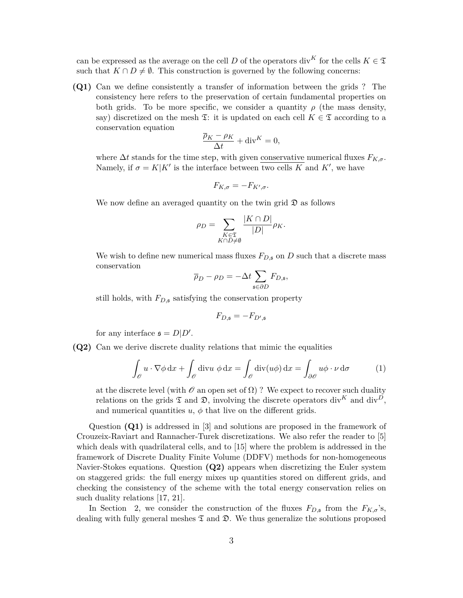can be expressed as the average on the cell *D* of the operators div<sup>K</sup> for the cells  $K \in \mathfrak{T}$ such that  $K \cap D \neq \emptyset$ . This construction is governed by the following concerns:

**(Q1)** Can we define consistently a transfer of information between the grids ? The consistency here refers to the preservation of certain fundamental properties on both grids. To be more specific, we consider a quantity  $\rho$  (the mass density, say) discretized on the mesh  $\mathfrak{T}$ : it is updated on each cell  $K \in \mathfrak{T}$  according to a conservation equation

$$
\frac{\overline{\rho}_K - \rho_K}{\Delta t} + \text{div}^K = 0,
$$

where  $\Delta t$  stands for the time step, with given conservative numerical fluxes  $F_{K,\sigma}$ . Namely, if  $\sigma = K|K'$  is the interface between two cells *K* and *K'*, we have

$$
F_{K,\sigma} = -F_{K',\sigma}.
$$

We now define an averaged quantity on the twin grid  $\mathfrak D$  as follows

$$
\rho_D = \sum_{\substack{K \in \mathfrak{T} \\ K \cap D \neq \emptyset}} \frac{|K \cap D|}{|D|} \rho_K.
$$

We wish to define new numerical mass fluxes  $F_{D,\mathfrak{s}}$  on  $D$  such that a discrete mass conservation

$$
\overline{\rho}_D - \rho_D = -\Delta t \sum_{\mathfrak{s} \in \partial D} F_{D,\mathfrak{s}},
$$

still holds, with *FD,*<sup>s</sup> satisfying the conservation property

$$
F_{D,\mathfrak{s}} = -F_{D',\mathfrak{s}}
$$

for any interface  $\mathfrak{s} = D|D'$ .

**(Q2)** Can we derive discrete duality relations that mimic the equalities

$$
\int_{\mathcal{O}} u \cdot \nabla \phi \, dx + \int_{\mathcal{O}} \text{div}u \, \phi \, dx = \int_{\mathcal{O}} \text{div}(u\phi) \, dx = \int_{\partial \mathcal{O}} u\phi \cdot \nu \, d\sigma \tag{1}
$$

at the discrete level (with  $\mathcal O$  an open set of  $\Omega$ )? We expect to recover such duality relations on the grids  $\mathfrak T$  and  $\mathfrak D$ , involving the discrete operators div<sup>K</sup> and div<sup>D</sup>, and numerical quantities  $u, \phi$  that live on the different grids.

Question **(Q1)** is addressed in [3] and solutions are proposed in the framework of Crouzeix-Raviart and Rannacher-Turek discretizations. We also refer the reader to [5] which deals with quadrilateral cells, and to [15] where the problem is addressed in the framework of Discrete Duality Finite Volume (DDFV) methods for non-homogeneous Navier-Stokes equations. Question **(Q2)** appears when discretizing the Euler system on staggered grids: the full energy mixes up quantities stored on different grids, and checking the consistency of the scheme with the total energy conservation relies on such duality relations [17, 21].

In Section 2, we consider the construction of the fluxes  $F_{D,\mathfrak{s}}$  from the  $F_{K,\sigma}$ 's, dealing with fully general meshes  $\mathfrak T$  and  $\mathfrak D$ . We thus generalize the solutions proposed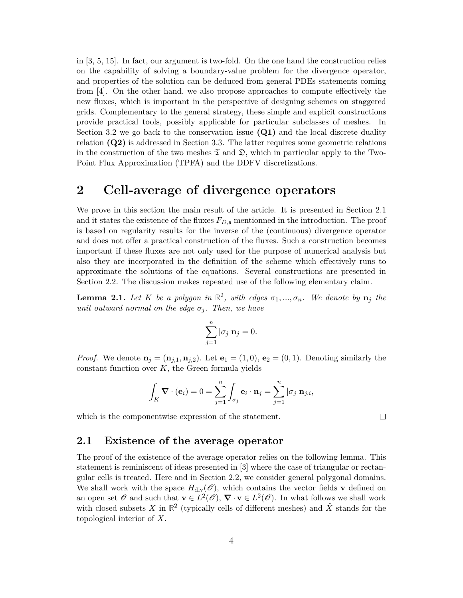in [3, 5, 15]. In fact, our argument is two-fold. On the one hand the construction relies on the capability of solving a boundary-value problem for the divergence operator, and properties of the solution can be deduced from general PDEs statements coming from [4]. On the other hand, we also propose approaches to compute effectively the new fluxes, which is important in the perspective of designing schemes on staggered grids. Complementary to the general strategy, these simple and explicit constructions provide practical tools, possibly applicable for particular subclasses of meshes. In Section 3.2 we go back to the conservation issue **(Q1)** and the local discrete duality relation **(Q2)** is addressed in Section 3.3. The latter requires some geometric relations in the construction of the two meshes  $\mathfrak T$  and  $\mathfrak D$ , which in particular apply to the Two-Point Flux Approximation (TPFA) and the DDFV discretizations.

### **2 Cell-average of divergence operators**

We prove in this section the main result of the article. It is presented in Section 2.1 and it states the existence of the fluxes  $F_{D,\mathfrak{s}}$  mentionned in the introduction. The proof is based on regularity results for the inverse of the (continuous) divergence operator and does not offer a practical construction of the fluxes. Such a construction becomes important if these fluxes are not only used for the purpose of numerical analysis but also they are incorporated in the definition of the scheme which effectively runs to approximate the solutions of the equations. Several constructions are presented in Section 2.2. The discussion makes repeated use of the following elementary claim.

**Lemma 2.1.** Let K be a polygon in  $\mathbb{R}^2$ , with edges  $\sigma_1, ..., \sigma_n$ . We denote by  $\mathbf{n}_j$  the *unit outward normal on the edge*  $\sigma_j$ *. Then, we have* 

$$
\sum_{j=1}^n |\sigma_j| \mathbf{n}_j = 0.
$$

*Proof.* We denote  $\mathbf{n}_j = (\mathbf{n}_{j,1}, \mathbf{n}_{j,2})$ . Let  $\mathbf{e}_1 = (1,0), \mathbf{e}_2 = (0,1)$ . Denoting similarly the constant function over *K*, the Green formula yields

$$
\int_K \mathbf{\nabla} \cdot (\mathbf{e}_i) = 0 = \sum_{j=1}^n \int_{\sigma_j} \mathbf{e}_i \cdot \mathbf{n}_j = \sum_{j=1}^n |\sigma_j| \mathbf{n}_{j,i},
$$

which is the componentwise expression of the statement.

 $\Box$ 

### **2.1 Existence of the average operator**

The proof of the existence of the average operator relies on the following lemma. This statement is reminiscent of ideas presented in [3] where the case of triangular or rectangular cells is treated. Here and in Section 2.2, we consider general polygonal domains. We shall work with the space  $H_{\text{div}}(\mathscr{O})$ , which contains the vector fields **v** defined on an open set  $\mathscr O$  and such that  $\mathbf v \in L^2(\mathscr O)$ ,  $\nabla \cdot \mathbf v \in L^2(\mathscr O)$ . In what follows we shall work with closed subsets X in  $\mathbb{R}^2$  (typically cells of different meshes) and  $\mathring{X}$  stands for the topological interior of *X*.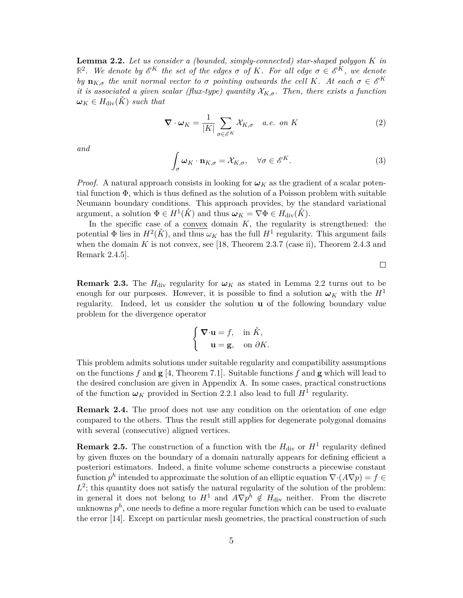**Lemma 2.2.** *Let us consider a (bounded, simply-connected) star-shaped polygon K in*  $\mathbb{R}^2$ . We denote by  $\mathscr{E}^K$  the set of the edges  $\sigma$  of K. For all edge  $\sigma \in \mathscr{E}^K$ , we denote *by*  $\mathbf{n}_{K,\sigma}$  *the unit normal vector to σ pointing outwards the cell K. At each*  $\sigma \in \mathcal{E}^K$ *it is associated a given scalar (flux-type) quantity*  $\mathcal{X}_{K,\sigma}$ . Then, there exists a function  $\omega_K \in H_{\text{div}}(\tilde{K})$  *such that* 

$$
\nabla \cdot \boldsymbol{\omega}_K = \frac{1}{|K|} \sum_{\sigma \in \mathscr{E}^K} \mathcal{X}_{K,\sigma} \quad a.e. \text{ on } K
$$
 (2)

*and*

$$
\int_{\sigma} \omega_K \cdot \mathbf{n}_{K,\sigma} = \mathcal{X}_{K,\sigma}, \quad \forall \sigma \in \mathscr{E}^K.
$$
\n(3)

*Proof.* A natural approach consists in looking for  $\omega_K$  as the gradient of a scalar potential function Φ, which is thus defined as the solution of a Poisson problem with suitable Neumann boundary conditions. This approach provides, by the standard variational argument, a solution  $\Phi \in H^1(\mathring{K})$  and thus  $\omega_K = \nabla \Phi \in H_{\text{div}}(\mathring{K})$ .

In the specific case of a convex domain  $K$ , the regularity is strengthened: the potential  $\Phi$  lies in  $H^2(\mathring{K})$ , and thus  $\omega_K$  has the full  $H^1$  regularity. This argument fails when the domain  $K$  is not convex, see [18, Theorem 2.3.7 (case ii), Theorem 2.4.3 and Remark 2.4.5].

**Remark 2.3.** The  $H_{\text{div}}$  regularity for  $\omega_K$  as stated in Lemma 2.2 turns out to be enough for our purposes. However, it is possible to find a solution  $\omega_K$  with the  $H^1$ regularity. Indeed, let us consider the solution **u** of the following boundary value problem for the divergence operator

$$
\begin{cases} \nabla \cdot \mathbf{u} = f, & \text{in } \mathring{K}, \\ \mathbf{u} = \mathbf{g}, & \text{on } \partial K. \end{cases}
$$

This problem admits solutions under suitable regularity and compatibility assumptions on the functions  $f$  and  $g$  [4, Theorem 7.1]. Suitable functions  $f$  and  $g$  which will lead to the desired conclusion are given in Appendix A. In some cases, practical constructions of the function  $\omega_K$  provided in Section 2.2.1 also lead to full  $H^1$  regularity.

**Remark 2.4.** The proof does not use any condition on the orientation of one edge compared to the others. Thus the result still applies for degenerate polygonal domains with several (consecutive) aligned vertices.

**Remark 2.5.** The construction of a function with the  $H_{\text{div}}$  or  $H^1$  regularity defined by given fluxes on the boundary of a domain naturally appears for defining efficient a posteriori estimators. Indeed, a finite volume scheme constructs a piecewise constant function  $p^h$  intended to approximate the solution of an elliptic equation  $\nabla \cdot (A \nabla p) = f \in$  $L^2$ ; this quantity does not satisfy the natural regularity of the solution of the problem: in general it does not belong to  $H^1$  and  $A\nabla p^h \notin H_{\text{div}}$  neither. From the discrete unknowns  $p^h$ , one needs to define a more regular function which can be used to evaluate the error [14]. Except on particular mesh geometries, the practical construction of such

 $\Box$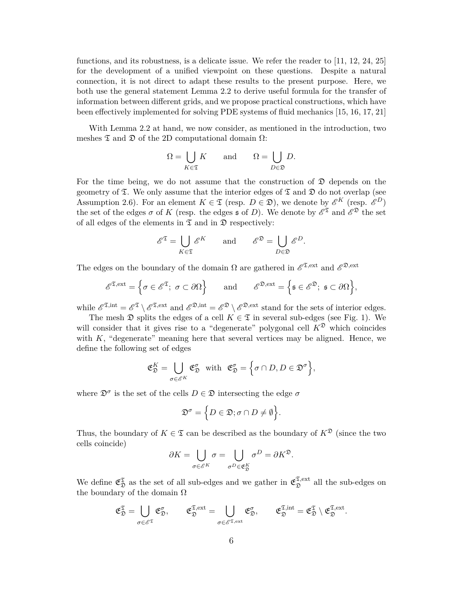functions, and its robustness, is a delicate issue. We refer the reader to [11, 12, 24, 25] for the development of a unified viewpoint on these questions. Despite a natural connection, it is not direct to adapt these results to the present purpose. Here, we both use the general statement Lemma 2.2 to derive useful formula for the transfer of information between different grids, and we propose practical constructions, which have been effectively implemented for solving PDE systems of fluid mechanics [15, 16, 17, 21]

With Lemma 2.2 at hand, we now consider, as mentioned in the introduction, two meshes  $\mathfrak T$  and  $\mathfrak D$  of the 2D computational domain  $\Omega$ :

$$
\Omega = \bigcup_{K \in \mathfrak{T}} K \quad \text{and} \quad \Omega = \bigcup_{D \in \mathfrak{D}} D.
$$

For the time being, we do not assume that the construction of  $\mathfrak D$  depends on the geometry of  $\mathfrak T$ . We only assume that the interior edges of  $\mathfrak T$  and  $\mathfrak D$  do not overlap (see Assumption 2.6). For an element  $K \in \mathfrak{T}$  (resp.  $D \in \mathfrak{D}$ ), we denote by  $\mathscr{E}^K$  (resp.  $\mathscr{E}^D$ ) the set of the edges  $\sigma$  of K (resp. the edges  $\mathfrak s$  of D). We denote by  $\mathscr E^{\mathfrak T}$  and  $\mathscr E^{\mathfrak D}$  the set of all edges of the elements in  $\mathfrak T$  and in  $\mathfrak D$  respectively:

$$
\mathscr{E}^{\mathfrak{T}} = \bigcup_{K \in \mathfrak{T}} \mathscr{E}^K \quad \text{and} \quad \mathscr{E}^{\mathfrak{D}} = \bigcup_{D \in \mathfrak{D}} \mathscr{E}^D.
$$

The edges on the boundary of the domain  $\Omega$  are gathered in  $\mathscr{E}^{\mathfrak{X}, \text{ext}}$  and  $\mathscr{E}^{\mathfrak{D}, \text{ext}}$ 

$$
\mathscr{E}^{\mathfrak{T},\mathrm{ext}} = \left\{ \sigma \in \mathscr{E}^{\mathfrak{T}}; \ \sigma \subset \partial \Omega \right\} \qquad \mathrm{and} \qquad \mathscr{E}^{\mathfrak{D},\mathrm{ext}} = \left\{ \mathfrak{s} \in \mathscr{E}^{\mathfrak{D}}; \ \mathfrak{s} \subset \partial \Omega \right\},
$$

while  $\mathscr{E}^{\mathfrak{I},\mathrm{int}} = \mathscr{E}^{\mathfrak{I}} \setminus \mathscr{E}^{\mathfrak{I},\mathrm{ext}}$  and  $\mathscr{E}^{\mathfrak{D},\mathrm{int}} = \mathscr{E}^{\mathfrak{D}} \setminus \mathscr{E}^{\mathfrak{D},\mathrm{ext}}$  stand for the sets of interior edges.

The mesh  $\mathfrak D$  splits the edges of a cell  $K \in \mathfrak T$  in several sub-edges (see Fig. 1). We will consider that it gives rise to a "degenerate" polygonal cell  $K^{\mathfrak{D}}$  which coincides with  $K$ , "degenerate" meaning here that several vertices may be aligned. Hence, we define the following set of edges

$$
\mathfrak{E}_{\mathfrak{D}}^K = \bigcup_{\sigma \in \mathscr{E}^K} \mathfrak{E}_{\mathfrak{D}}^{\sigma} \quad \text{with} \quad \mathfrak{E}_{\mathfrak{D}}^{\sigma} = \Big\{ \sigma \cap D, D \in \mathfrak{D}^{\sigma} \Big\},
$$

where  $\mathfrak{D}^{\sigma}$  is the set of the cells  $D \in \mathfrak{D}$  intersecting the edge  $\sigma$ 

$$
\mathfrak{D}^{\sigma} = \Big\{ D \in \mathfrak{D}; \sigma \cap D \neq \emptyset \Big\}.
$$

Thus, the boundary of  $K \in \mathfrak{T}$  can be described as the boundary of  $K^{\mathfrak{D}}$  (since the two cells coincide)

$$
\partial K = \bigcup_{\sigma \in \mathscr{E}^K} \sigma = \bigcup_{\sigma^D \in \mathfrak{E}_{\mathfrak{D}}^K} \sigma^D = \partial K^{\mathfrak{D}}.
$$

We define  $\mathfrak{E}_{\mathfrak{D}}^{\mathfrak{T}}$  as the set of all sub-edges and we gather in  $\mathfrak{E}_{\mathfrak{D}}^{\mathfrak{T},\mathrm{ext}}$  $\mathfrak{D}^{\mathfrak{L},\mathrm{ext}}$  all the sub-edges on the boundary of the domain  $\Omega$ 

$$
\mathfrak{E}^{\mathfrak{T}}_{\mathfrak{D}} = \bigcup_{\sigma \in \mathscr{E}^{\mathfrak{T}}} \mathfrak{E}^{\sigma}_{\mathfrak{D}}, \qquad \mathfrak{E}^{\mathfrak{T},\mathrm{ext}}_{\mathfrak{D}} = \bigcup_{\sigma \in \mathscr{E}^{\mathfrak{T},\mathrm{ext}}} \mathfrak{E}^{\sigma}_{\mathfrak{D}}, \qquad \mathfrak{E}^{\mathfrak{T},\mathrm{int}}_{\mathfrak{D}} = \mathfrak{E}^{\mathfrak{T}}_{\mathfrak{D}} \setminus \mathfrak{E}^{\mathfrak{T},\mathrm{ext}}_{\mathfrak{D}}.
$$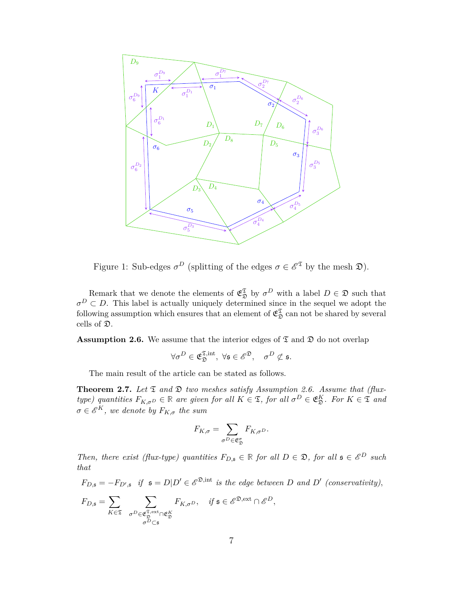

Figure 1: Sub-edges  $\sigma^D$  (splitting of the edges  $\sigma \in \mathscr{E}^{\mathfrak{T}}$  by the mesh  $\mathfrak{D}$ ).

Remark that we denote the elements of  $\mathfrak{E}_{\mathfrak{D}}^{\mathfrak{T}}$  by  $\sigma^D$  with a label  $D \in \mathfrak{D}$  such that  $\sigma^D \subset D$ . This label is actually uniquely determined since in the sequel we adopt the following assumption which ensures that an element of  $\mathfrak{E}_{\mathfrak{D}}^{\mathfrak{T}}$  can not be shared by several cells of D.

**Assumption 2.6.** We assume that the interior edges of  $\mathfrak{T}$  and  $\mathfrak{D}$  do not overlap

$$
\forall \sigma^D \in \mathfrak{E}_\mathfrak{D}^{\mathfrak{T},\mathrm{int}},\; \forall \mathfrak{s} \in \mathscr{E}^\mathfrak{D},\quad \sigma^D \not\subset \mathfrak{s}.
$$

The main result of the article can be stated as follows.

**Theorem 2.7.** Let  $\mathfrak{T}$  and  $\mathfrak{D}$  two meshes satisfy Assumption 2.6. Assume that (flux*type)* quantities  $F_{K,\sigma}$  $D \in \mathbb{R}$  are given for all  $K \in \mathfrak{T}$ , for all  $\sigma^D \in \mathfrak{E}_\mathfrak{D}^K$ . For  $K \in \mathfrak{T}$  and  $\sigma \in \mathscr{E}^K$ , we denote by  $F_{K,\sigma}$  the sum

$$
F_{K,\sigma} = \sum_{\sigma^D \in \mathfrak{E}_{\mathfrak{D}}^{\sigma}} F_{K,\sigma^D}.
$$

*Then, there exist (flux-type) quantities*  $F_{D,5} \in \mathbb{R}$  *for all*  $D \in \mathcal{D}$ *, for all*  $\mathfrak{s} \in \mathcal{E}^D$  *such that*

 $F_{D, \mathfrak{s}} = -F_{D', \mathfrak{s}}$  *if*  $\mathfrak{s} = D|D' \in \mathscr{E}^{\mathfrak{D}, \text{int}}$  *is the edge between D* and *D'* (conservativity),

$$
F_{D,\mathfrak{s}}=\sum_{K\in\mathfrak{T}}\ \sum_{\substack{\sigma^D\in\mathfrak{E}_\mathfrak{D}^{\mathfrak{T},\mathrm{ext}}\cap\mathfrak{E}_\mathfrak{D}^K\\\sigma^D\subset\mathfrak{s}}}F_{K,\sigma^D},\quad\text{if }\mathfrak{s}\in\mathscr{E}^{\mathfrak{D},\mathrm{ext}}\cap\mathscr{E}^D,
$$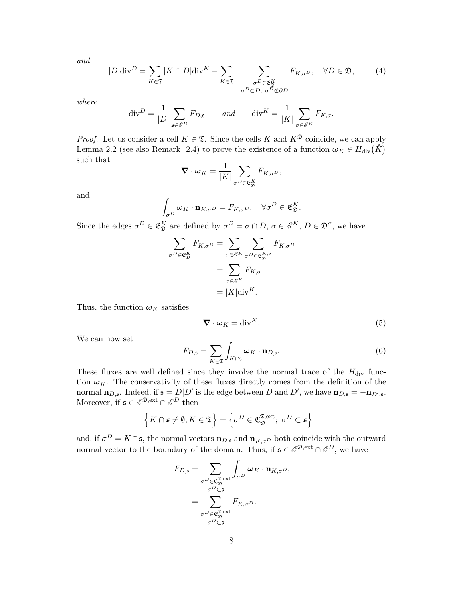*and*

$$
|D|\text{div}^{D} = \sum_{K \in \mathfrak{T}} |K \cap D|\text{div}^{K} - \sum_{K \in \mathfrak{T}} \sum_{\substack{\sigma^{D} \in \mathfrak{E}_{\mathfrak{D}}^{K} \\ \sigma^{D} \subset D, \sigma^{D} \not\subset \partial D}} F_{K, \sigma^{D}}, \quad \forall D \in \mathfrak{D}, \quad (4)
$$

*where*

$$
\operatorname{div}^D = \frac{1}{|D|} \sum_{\mathfrak{s} \in \mathcal{E}^D} F_{D,\mathfrak{s}} \qquad and \qquad \operatorname{div}^K = \frac{1}{|K|} \sum_{\sigma \in \mathcal{E}^K} F_{K,\sigma}.
$$

*Proof.* Let us consider a cell  $K \in \mathfrak{T}$ . Since the cells K and  $K^{\mathfrak{D}}$  coincide, we can apply Lemma 2.2 (see also Remark 2.4) to prove the existence of a function  $\omega_K \in H_{\text{div}}(\mathring{K})$ such that

$$
\nabla \cdot \boldsymbol{\omega}_K = \frac{1}{|K|} \sum_{\sigma^D \in \mathfrak{E}_{\mathfrak{D}}^K} F_{K, \sigma^D},
$$

and

$$
\int_{\sigma^D} \boldsymbol{\omega}_K \cdot \mathbf{n}_{K,\sigma^D} = F_{K,\sigma^D}, \quad \forall \sigma^D \in \mathfrak{E}_{\mathfrak{D}}^K.
$$

Since the edges  $\sigma^D \in \mathfrak{E}_\mathfrak{D}^K$  are defined by  $\sigma^D = \sigma \cap D$ ,  $\sigma \in \mathscr{E}^K$ ,  $D \in \mathfrak{D}^{\sigma}$ , we have

$$
\sum_{\sigma^D \in \mathfrak{E}_{\mathfrak{D}}^K} F_{K,\sigma^D} = \sum_{\sigma \in \mathcal{E}^K} \sum_{\sigma^D \in \mathfrak{E}_{\mathfrak{D}}^{K,\sigma}} F_{K,\sigma^D}
$$

$$
= \sum_{\sigma \in \mathcal{E}^K} F_{K,\sigma}
$$

$$
= |K| \text{div}^K.
$$

Thus, the function  $\omega_K$  satisfies

$$
\nabla \cdot \boldsymbol{\omega}_K = \text{div}^K. \tag{5}
$$

We can now set

$$
F_{D,\mathfrak{s}} = \sum_{K \in \mathfrak{T}} \int_{K \cap \mathfrak{s}} \omega_K \cdot \mathbf{n}_{D,\mathfrak{s}}.\tag{6}
$$

These fluxes are well defined since they involve the normal trace of the  $H_{div}$  function  $\omega_K$ . The conservativity of these fluxes directly comes from the definition of the normal  $\mathbf{n}_{D,\mathfrak{s}}$ . Indeed, if  $\mathfrak{s} = D|D'$  is the edge between *D* and *D'*, we have  $\mathbf{n}_{D,\mathfrak{s}} = -\mathbf{n}_{D',\mathfrak{s}}$ . Moreover, if  $\mathfrak{s} \in \mathscr{E}^{\mathfrak{D}, \text{ext}} \cap \mathscr{E}^D$  then

$$
\left\{K \cap \mathfrak{s} \neq \emptyset; K \in \mathfrak{T}\right\} = \left\{\sigma^D \in \mathfrak{E}_{\mathfrak{D}}^{\mathfrak{T},\mathrm{ext}}; \ \sigma^D \subset \mathfrak{s}\right\}
$$

and, if  $\sigma^D = K \cap \mathfrak{s}$ , the normal vectors  $\mathbf{n}_{D,\mathfrak{s}}$  and  $\mathbf{n}_{K,\sigma^D}$  both coincide with the outward normal vector to the boundary of the domain. Thus, if  $\mathfrak{s} \in \mathscr{E}^{\mathfrak{D}, \text{ext}} \cap \mathscr{E}^D$ , we have

$$
F_{D,\mathfrak{s}} = \sum_{\substack{\sigma^D \in \mathfrak{E}_{\mathfrak{D}}^{\mathfrak{T},\mathrm{ext}} \\ \sigma^D \subset \mathfrak{s} \\ \sigma^D \subset \mathfrak{s} \\ \sigma^D \in \mathfrak{E}_{\mathfrak{D}}^{\mathfrak{T},\mathrm{ext}}} F_{K,\sigma^D}.
$$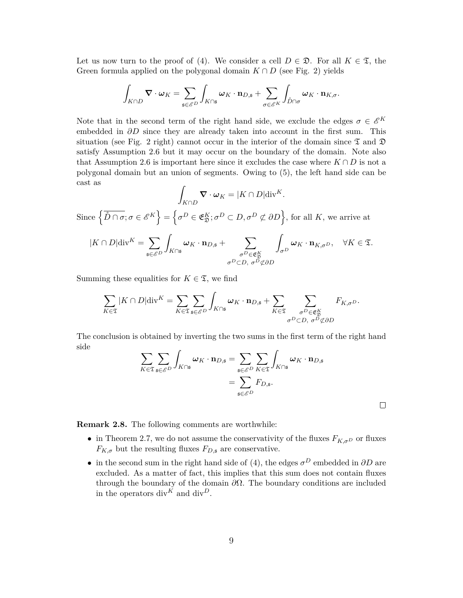Let us now turn to the proof of (4). We consider a cell  $D \in \mathfrak{D}$ . For all  $K \in \mathfrak{T}$ , the Green formula applied on the polygonal domain  $K \cap D$  (see Fig. 2) yields

$$
\int_{K\cap D}\boldsymbol{\nabla}\cdot\boldsymbol{\omega}_{K}=\sum_{\mathfrak{s}\in \mathscr{E}^{D}}\int_{K\cap\mathfrak{s}}\boldsymbol{\omega}_{K}\cdot\mathbf{n}_{D,\mathfrak{s}}+\sum_{\sigma\in \mathscr{E}^{K}}\int_{\mathring{D}\cap \sigma}\boldsymbol{\omega}_{K}\cdot\mathbf{n}_{K,\sigma}.
$$

Note that in the second term of the right hand side, we exclude the edges  $\sigma \in \mathscr{E}^K$ embedded in *∂D* since they are already taken into account in the first sum. This situation (see Fig. 2 right) cannot occur in the interior of the domain since  $\mathfrak T$  and  $\mathfrak D$ satisfy Assumption 2.6 but it may occur on the boundary of the domain. Note also that Assumption 2.6 is important here since it excludes the case where  $K \cap D$  is not a polygonal domain but an union of segments. Owing to (5), the left hand side can be cast as

$$
\int_{K \cap D} \mathbf{\nabla} \cdot \boldsymbol{\omega}_{K} = |K \cap D| \text{div}^{K}.
$$
  
Since  $\left\{ \overrightarrow{D} \cap \sigma; \sigma \in \mathscr{E}^{K} \right\} = \left\{ \sigma^{D} \in \mathfrak{E}_{\mathfrak{D}}^{K}; \sigma^{D} \subset D, \sigma^{D} \not\subset \partial D \right\}, \text{ for all } K, \text{ we arrive at}$   

$$
|K \cap D| \text{div}^{K} = \sum_{\mathfrak{s} \in \mathscr{E}^{D}} \int_{K \cap \mathfrak{s}} \boldsymbol{\omega}_{K} \cdot \mathbf{n}_{D, \mathfrak{s}} + \sum_{\substack{\sigma^{D} \in \mathfrak{E}_{\mathfrak{D}}^{K} \\ \sigma^{D} \subset D, \sigma^{D} \not\subset \partial D}} \int_{\sigma^{D}} \boldsymbol{\omega}_{K} \cdot \mathbf{n}_{K, \sigma^{D}}, \quad \forall K \in \mathfrak{T}.
$$

Summing these equalities for  $K \in \mathfrak{T}$ , we find

$$
\sum_{K\in\mathfrak{T}}|K\cap D|\mathrm{div}^{K}=\sum_{K\in\mathfrak{T}}\sum_{\mathfrak{s}\in\mathscr{E}^{D}}\int_{K\cap\mathfrak{s}}\boldsymbol{\omega}_{K}\cdot\mathbf{n}_{D,\mathfrak{s}}+\sum_{K\in\mathfrak{T}}\sum_{\substack{\sigma^{D}\in\mathfrak{E}_{\mathfrak{D}}^{K}\\ \sigma^{D}\subset D,\ \sigma^{D}\not\subset\partial D}}F_{K,\sigma^{D}}.
$$

The conclusion is obtained by inverting the two sums in the first term of the right hand side

$$
\sum_{K \in \mathfrak{T}} \sum_{\mathfrak{s} \in \mathcal{E}^D} \int_{K \cap \mathfrak{s}} \omega_K \cdot \mathbf{n}_{D, \mathfrak{s}} = \sum_{\mathfrak{s} \in \mathcal{E}^D} \sum_{K \in \mathfrak{T}} \int_{K \cap \mathfrak{s}} \omega_K \cdot \mathbf{n}_{D, \mathfrak{s}} \n= \sum_{\mathfrak{s} \in \mathcal{E}^D} F_{D, \mathfrak{s}}.
$$

 $\Box$ 

**Remark 2.8.** The following comments are worthwhile:

- in Theorem 2.7, we do not assume the conservativity of the fluxes  $F_{K,\sigma D}$  or fluxes  $F_{K,\sigma}$  but the resulting fluxes  $F_{D,\mathfrak{s}}$  are conservative.
- in the second sum in the right hand side of (4), the edges  $\sigma^D$  embedded in  $\partial D$  are excluded. As a matter of fact, this implies that this sum does not contain fluxes through the boundary of the domain *∂*Ω. The boundary conditions are included in the operators div<sup> $K$ </sup> and div<sup>D</sup>.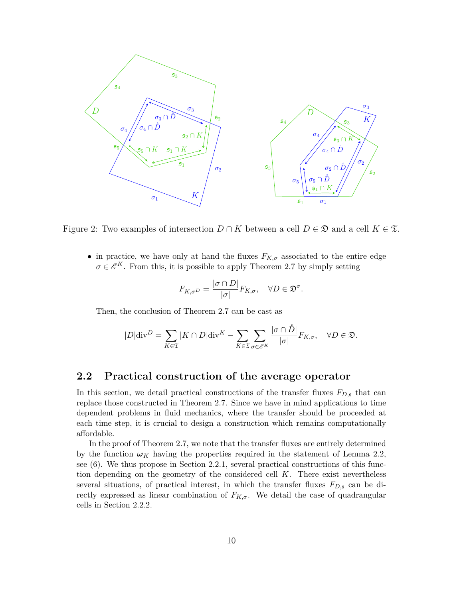

Figure 2: Two examples of intersection  $D \cap K$  between a cell  $D \in \mathfrak{D}$  and a cell  $K \in \mathfrak{T}$ .

• in practice, we have only at hand the fluxes  $F_{K,\sigma}$  associated to the entire edge  $\sigma \in \mathscr{E}^K$ . From this, it is possible to apply Theorem 2.7 by simply setting

$$
F_{K,\sigma D} = \frac{|\sigma \cap D|}{|\sigma|} F_{K,\sigma}, \quad \forall D \in \mathfrak{D}^{\sigma}.
$$

Then, the conclusion of Theorem 2.7 can be cast as

$$
|D|\text{div}^D = \sum_{K \in \mathfrak{T}} |K \cap D|\text{div}^K - \sum_{K \in \mathfrak{T}} \sum_{\sigma \in \mathscr{E}^K} \frac{|\sigma \cap \mathring{D}|}{|\sigma|} F_{K,\sigma}, \quad \forall D \in \mathfrak{D}.
$$

### **2.2 Practical construction of the average operator**

In this section, we detail practical constructions of the transfer fluxes *FD,*<sup>s</sup> that can replace those constructed in Theorem 2.7. Since we have in mind applications to time dependent problems in fluid mechanics, where the transfer should be proceeded at each time step, it is crucial to design a construction which remains computationally affordable.

In the proof of Theorem 2.7, we note that the transfer fluxes are entirely determined by the function  $\omega_K$  having the properties required in the statement of Lemma 2.2, see (6). We thus propose in Section 2.2.1, several practical constructions of this function depending on the geometry of the considered cell *K*. There exist nevertheless several situations, of practical interest, in which the transfer fluxes  $F_{D,\mathfrak{s}}$  can be directly expressed as linear combination of  $F_{K,\sigma}$ . We detail the case of quadrangular cells in Section 2.2.2.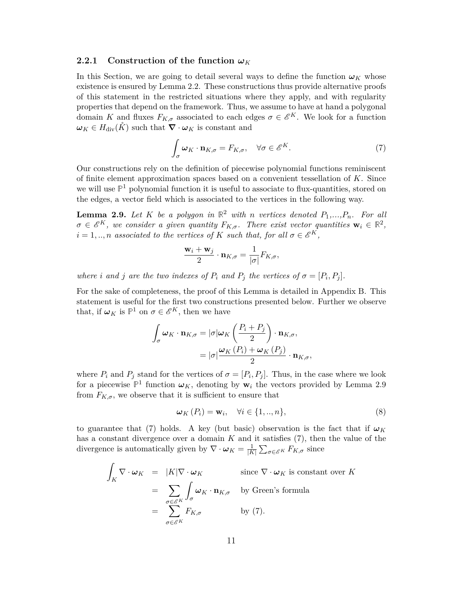#### **2.2.1** Construction of the function  $\omega_K$

In this Section, we are going to detail several ways to define the function  $\omega_K$  whose existence is ensured by Lemma 2.2. These constructions thus provide alternative proofs of this statement in the restricted situations where they apply, and with regularity properties that depend on the framework. Thus, we assume to have at hand a polygonal domain *K* and fluxes  $F_{K,\sigma}$  associated to each edges  $\sigma \in \mathscr{E}^K$ . We look for a function  $\omega_K \in H_{\text{div}}(\check{K})$  such that  $\nabla \cdot \omega_K$  is constant and

$$
\int_{\sigma} \omega_K \cdot \mathbf{n}_{K,\sigma} = F_{K,\sigma}, \quad \forall \sigma \in \mathscr{E}^K. \tag{7}
$$

Our constructions rely on the definition of piecewise polynomial functions reminiscent of finite element approximation spaces based on a convenient tessellation of *K*. Since we will use **P** <sup>1</sup> polynomial function it is useful to associate to flux-quantities, stored on the edges, a vector field which is associated to the vertices in the following way.

**Lemma 2.9.** Let K be a polygon in  $\mathbb{R}^2$  with *n* vertices denoted  $P_1, ..., P_n$ . For all  $\sigma \in \mathscr{E}^K$ , we consider a given quantity  $F_{K,\sigma}$ . There exist vector quantities  $\mathbf{w}_i \in \mathbb{R}^2$ ,  $i = 1, \ldots, n$  *associated to the vertices of*  $K$  *such that, for all*  $\sigma \in \mathscr{E}^K$ ,

$$
\frac{\mathbf{w}_i + \mathbf{w}_j}{2} \cdot \mathbf{n}_{K,\sigma} = \frac{1}{|\sigma|} F_{K,\sigma},
$$

*where i* and *j* are the two indexes of  $P_i$  and  $P_j$  the vertices of  $\sigma = [P_i, P_j]$ .

For the sake of completeness, the proof of this Lemma is detailed in Appendix B. This statement is useful for the first two constructions presented below. Further we observe that, if  $\omega_K$  is  $\mathbb{P}^1$  on  $\sigma \in \mathscr{E}^K$ , then we have

$$
\int_{\sigma} \omega_K \cdot \mathbf{n}_{K,\sigma} = |\sigma| \omega_K \left(\frac{P_i + P_j}{2}\right) \cdot \mathbf{n}_{K,\sigma},
$$

$$
= |\sigma| \frac{\omega_K (P_i) + \omega_K (P_j)}{2} \cdot \mathbf{n}_{K,\sigma},
$$

where  $P_i$  and  $P_j$  stand for the vertices of  $\sigma = [P_i, P_j]$ . Thus, in the case where we look for a piecewise  $\mathbb{P}^1$  function  $\omega_K$ , denoting by  $\mathbf{w}_i$  the vectors provided by Lemma 2.9 from  $F_{K,\sigma}$ , we observe that it is sufficient to ensure that

$$
\boldsymbol{\omega}_K\left(P_i\right) = \mathbf{w}_i, \quad \forall i \in \{1, ..., n\},\tag{8}
$$

to guarantee that (7) holds. A key (but basic) observation is the fact that if  $\omega_K$ has a constant divergence over a domain *K* and it satisfies (7), then the value of the divergence is automatically given by  $\nabla \cdot \boldsymbol{\omega}_K = \frac{1}{|K|}$  $\frac{1}{|K|} \sum_{\sigma \in \mathscr{E}^K} F_{K,\sigma}$  since

$$
\int_{K} \nabla \cdot \omega_{K} = |K| \nabla \cdot \omega_{K} \quad \text{since } \nabla \cdot \omega_{K} \text{ is constant over } K
$$
\n
$$
= \sum_{\sigma \in \mathscr{E}^{K}} \int_{\sigma} \omega_{K} \cdot \mathbf{n}_{K,\sigma} \quad \text{by Green's formula}
$$
\n
$$
= \sum_{\sigma \in \mathscr{E}^{K}} F_{K,\sigma} \quad \text{by (7).}
$$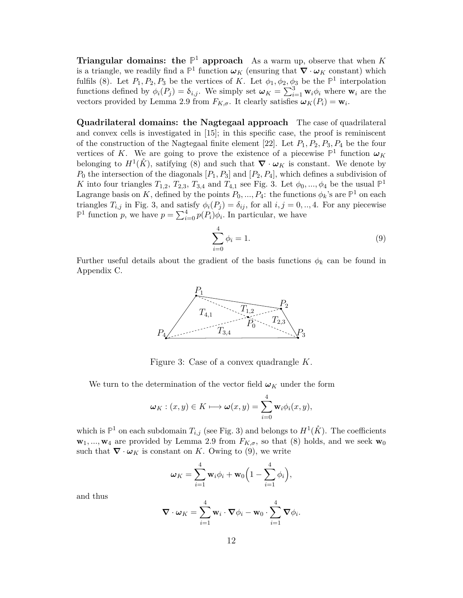**Triangular domains:** the  $\mathbb{P}^1$  approach As a warm up, observe that when K is a triangle, we readily find a  $\mathbb{P}^1$  function  $\omega_K$  (ensuring that  $\nabla \cdot \omega_K$  constant) which fulfils (8). Let  $P_1, P_2, P_3$  be the vertices of *K*. Let  $\phi_1, \phi_2, \phi_3$  be the  $\mathbb{P}^1$  interpolation functions defined by  $\phi_i(P_j) = \delta_{i,j}$ . We simply set  $\omega_K = \sum_{i=1}^3 \mathbf{w}_i \phi_i$  where  $\mathbf{w}_i$  are the vectors provided by Lemma 2.9 from  $F_{K,\sigma}$ . It clearly satisfies  $\omega_K(P_i) = \mathbf{w}_i$ .

**Quadrilateral domains: the Nagtegaal approach** The case of quadrilateral and convex cells is investigated in [15]; in this specific case, the proof is reminiscent of the construction of the Nagtegaal finite element [22]. Let *P*1*, P*2*, P*3*, P*<sup>4</sup> be the four vertices of *K*. We are going to prove the existence of a piecewise  $\mathbb{P}^1$  function  $\omega_K$ belonging to  $H^1(\mathring{K})$ , satifying (8) and such that  $\nabla \cdot \omega_K$  is constant. We denote by  $P_0$  the intersection of the diagonals  $[P_1, P_3]$  and  $[P_2, P_4]$ , which defines a subdivision of *K* into four triangles  $T_{1,2}$ ,  $T_{2,3}$ ,  $T_{3,4}$  and  $T_{4,1}$  see Fig. 3. Let  $\phi_0$ , ...,  $\phi_4$  be the usual  $\mathbb{P}^1$ Lagrange basis on *K*, defined by the points  $P_0, ..., P_4$ : the functions  $\phi_k$ 's are  $\mathbb{P}^1$  on each triangles  $T_{i,j}$  in Fig. 3, and satisfy  $\phi_i(P_j) = \delta_{ij}$ , for all  $i, j = 0, \ldots, 4$ . For any piecewise  $\mathbb{P}^1$  function *p*, we have  $p = \sum_{i=0}^4 p(P_i) \phi_i$ . In particular, we have

$$
\sum_{i=0}^{4} \phi_i = 1.
$$
\n(9)

Further useful details about the gradient of the basis functions  $\phi_k$  can be found in Appendix C.



Figure 3: Case of a convex quadrangle *K*.

We turn to the determination of the vector field  $\omega_K$  under the form

$$
\boldsymbol{\omega}_K : (x, y) \in K \longmapsto \boldsymbol{\omega}(x, y) = \sum_{i=0}^4 \mathbf{w}_i \phi_i(x, y),
$$

which is  $\mathbb{P}^1$  on each subdomain  $T_{i,j}$  (see Fig. 3) and belongs to  $H^1(\mathring{K})$ . The coefficients  $\mathbf{w}_1, \ldots, \mathbf{w}_4$  are provided by Lemma 2.9 from  $F_{K,\sigma}$ , so that (8) holds, and we seek  $\mathbf{w}_0$ such that  $\nabla \cdot \omega_K$  is constant on *K*. Owing to (9), we write

$$
\boldsymbol{\omega}_K = \sum_{i=1}^4 \mathbf{w}_i \phi_i + \mathbf{w}_0 \Big( 1 - \sum_{i=1}^4 \phi_i \Big),
$$

and thus

$$
\nabla \cdot \boldsymbol{\omega}_K = \sum_{i=1}^4 \mathbf{w}_i \cdot \nabla \phi_i - \mathbf{w}_0 \cdot \sum_{i=1}^4 \nabla \phi_i.
$$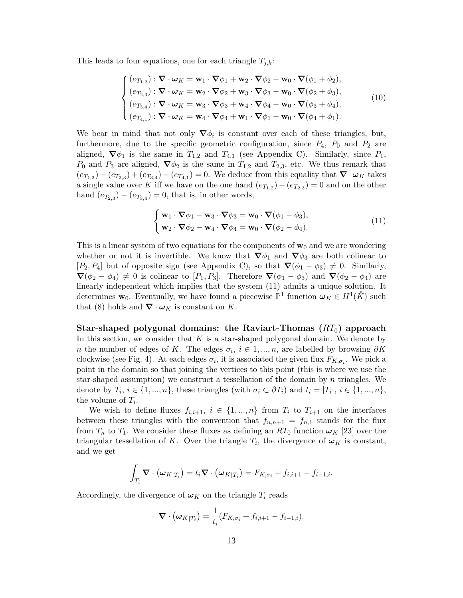This leads to four equations, one for each triangle  $T_{j,k}$ :

$$
\begin{cases}\n(e_{T_{1,2}}): \nabla \cdot \omega_K = \mathbf{w}_1 \cdot \nabla \phi_1 + \mathbf{w}_2 \cdot \nabla \phi_2 - \mathbf{w}_0 \cdot \nabla (\phi_1 + \phi_2), \\
(e_{T_{2,3}}): \nabla \cdot \omega_K = \mathbf{w}_2 \cdot \nabla \phi_2 + \mathbf{w}_3 \cdot \nabla \phi_3 - \mathbf{w}_0 \cdot \nabla (\phi_2 + \phi_3), \\
(e_{T_{3,4}}): \nabla \cdot \omega_K = \mathbf{w}_3 \cdot \nabla \phi_3 + \mathbf{w}_4 \cdot \nabla \phi_4 - \mathbf{w}_0 \cdot \nabla (\phi_3 + \phi_4), \\
(e_{T_{4,1}}): \nabla \cdot \omega_K = \mathbf{w}_4 \cdot \nabla \phi_4 + \mathbf{w}_1 \cdot \nabla \phi_1 - \mathbf{w}_0 \cdot \nabla (\phi_4 + \phi_1).\n\end{cases}
$$
\n(10)

We bear in mind that not only  $\nabla \phi_i$  is constant over each of these triangles, but, furthermore, due to the specific geometric configuration, since  $P_4$ ,  $P_0$  and  $P_2$  are aligned,  $\nabla \phi_1$  is the same in  $T_{1,2}$  and  $T_{4,1}$  (see Appendix C). Similarly, since  $P_1$ , *P*<sub>0</sub> and *P*<sub>3</sub> are aligned,  $\nabla \phi_2$  is the same in  $T_{1,2}$  and  $T_{2,3}$ , etc. We thus remark that  $(e_{T_{1,2}}) - (e_{T_{2,3}}) + (e_{T_{3,4}}) - (e_{T_{4,1}}) = 0$ . We deduce from this equality that  $\nabla \cdot \omega_K$  takes a single value over K iff we have on the one hand  $(e_{T_{1,2}}) - (e_{T_{2,3}}) = 0$  and on the other hand  $(e_{T_{2,3}}) - (e_{T_{3,4}}) = 0$ , that is, in other words,

$$
\begin{cases}\n\mathbf{w}_1 \cdot \nabla \phi_1 - \mathbf{w}_3 \cdot \nabla \phi_3 = \mathbf{w}_0 \cdot \nabla (\phi_1 - \phi_3), \\
\mathbf{w}_2 \cdot \nabla \phi_2 - \mathbf{w}_4 \cdot \nabla \phi_4 = \mathbf{w}_0 \cdot \nabla (\phi_2 - \phi_4).\n\end{cases}
$$
\n(11)

This is a linear system of two equations for the components of  $w_0$  and we are wondering whether or not it is invertible. We know that  $\nabla \phi_1$  and  $\nabla \phi_3$  are both colinear to  $[P_2, P_4]$  but of opposite sign (see Appendix C), so that  $\nabla(\phi_1 - \phi_3) \neq 0$ . Similarly,  $\nabla(\phi_2 - \phi_4) \neq 0$  is colinear to  $[P_1, P_3]$ . Therefore  $\nabla(\phi_1 - \phi_3)$  and  $\nabla(\phi_2 - \phi_4)$  are linearly independent which implies that the system (11) admits a unique solution. It determines  $\mathbf{w}_0$ . Eventually, we have found a piecewise  $\mathbb{P}^1$  function  $\omega_K \in H^1(\mathring{K})$  such that (8) holds and  $\nabla \cdot \omega_K$  is constant on *K*.

**Star-shaped polygonal domains: the Raviart-Thomas (***RT*0**) approach** In this section, we consider that *K* is a star-shaped polygonal domain. We denote by *n* the number of edges of *K*. The edges  $\sigma_i$ ,  $i \in 1, ..., n$ , are labelled by browsing  $\partial K$ clockwise (see Fig. 4). At each edges  $\sigma_i$ , it is associated the given flux  $F_{K,\sigma_i}$ . We pick a point in the domain so that joining the vertices to this point (this is where we use the star-shaped assumption) we construct a tessellation of the domain by *n* triangles. We denote by  $T_i$ ,  $i \in \{1, ..., n\}$ , these triangles (with  $\sigma_i \subset \partial T_i$ ) and  $t_i = |T_i|$ ,  $i \in \{1, ..., n\}$ , the volume of  $T_i$ .

We wish to define fluxes  $f_{i,i+1}$ ,  $i \in \{1, ..., n\}$  from  $T_i$  to  $T_{i+1}$  on the interfaces between these triangles with the convention that  $f_{n,n+1} = f_{n,1}$  stands for the flux from  $T_n$  to  $T_1$ . We consider these fluxes as defining an  $RT_0$  function  $\omega_K$  [23] over the triangular tessellation of *K*. Over the triangle  $T_i$ , the divergence of  $\omega_K$  is constant, and we get

$$
\int_{T_i} \mathbf{\nabla} \cdot (\boldsymbol{\omega}_{K|T_i}) = t_i \mathbf{\nabla} \cdot (\boldsymbol{\omega}_{K|T_i}) = F_{K,\sigma_i} + f_{i,i+1} - f_{i-1,i}.
$$

Accordingly, the divergence of  $\omega_K$  on the triangle  $T_i$  reads

$$
\nabla \cdot (\boldsymbol{\omega}_{K|T_i}) = \frac{1}{t_i}(F_{K,\sigma_i} + f_{i,i+1} - f_{i-1,i}).
$$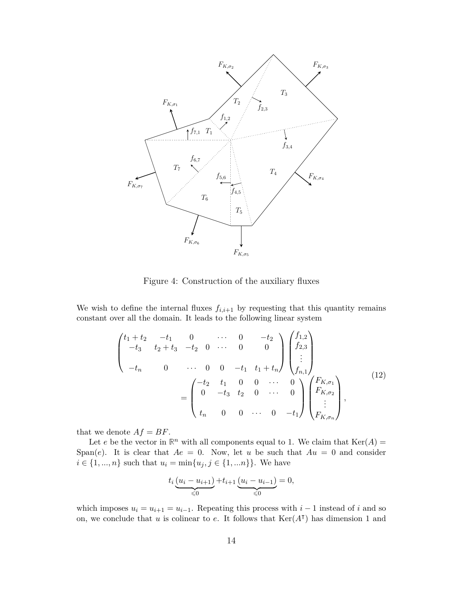

Figure 4: Construction of the auxiliary fluxes

We wish to define the internal fluxes  $f_{i,i+1}$  by requesting that this quantity remains constant over all the domain. It leads to the following linear system

$$
\begin{pmatrix} t_1+t_2 & -t_1 & 0 & \cdots & 0 & -t_2 \\ -t_3 & t_2+t_3 & -t_2 & 0 & \cdots & 0 & 0 \\ -t_n & 0 & \cdots & 0 & 0 & -t_1 & t_1+t_n \end{pmatrix} \begin{pmatrix} f_{1,2} \\ f_{2,3} \\ \vdots \\ f_{n,1} \end{pmatrix}
$$

$$
= \begin{pmatrix} -t_2 & t_1 & 0 & 0 & \cdots & 0 \\ 0 & -t_3 & t_2 & 0 & \cdots & 0 \\ t_n & 0 & 0 & \cdots & 0 & -t_1 \end{pmatrix} \begin{pmatrix} F_{K,\sigma_1} \\ F_{K,\sigma_2} \\ \vdots \\ F_{K,\sigma_n} \end{pmatrix},
$$
(12)

that we denote  $Af = BF$ .

Let *e* be the vector in  $\mathbb{R}^n$  with all components equal to 1. We claim that  $\text{Ker}(A) =$ Span(*e*). It is clear that  $Ae = 0$ . Now, let *u* be such that  $Au = 0$  and consider *i* ∈ {1, ..., *n*} such that  $u_i = \min\{u_j, j \in \{1, \dots n\}\}$ . We have

$$
t_i \underbrace{(u_i - u_{i+1})}_{\leq 0} + t_{i+1} \underbrace{(u_i - u_{i-1})}_{\leq 0} = 0,
$$

which imposes  $u_i = u_{i+1} = u_{i-1}$ . Repeating this process with  $i-1$  instead of *i* and so on, we conclude that *u* is colinear to *e*. It follows that  $\text{Ker}(A^{\dagger})$  has dimension 1 and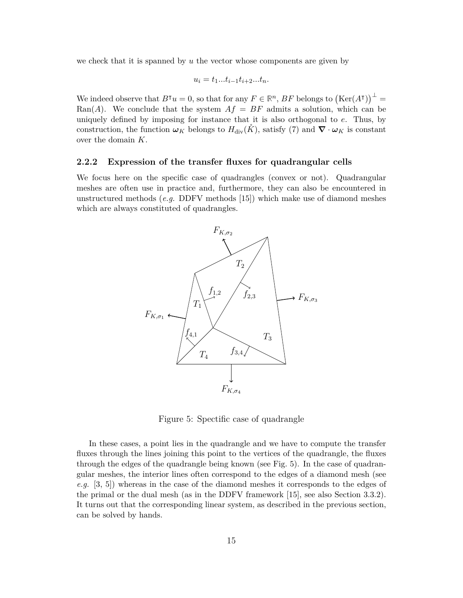we check that it is spanned by *u* the vector whose components are given by

$$
u_i = t_1...t_{i-1}t_{i+2}...t_n.
$$

We indeed observe that  $B^{\intercal}u = 0$ , so that for any  $F \in \mathbb{R}^n$ ,  $BF$  belongs to  $(\text{Ker}(A^{\intercal}))^{\perp}$ Ran(*A*). We conclude that the system  $Af = BF$  admits a solution, which can be uniquely defined by imposing for instance that it is also orthogonal to *e*. Thus, by construction, the function  $\omega_K$  belongs to  $H_{\text{div}}(\tilde{K})$ , satisfy (7) and  $\nabla \cdot \omega_K$  is constant over the domain *K*.

#### **2.2.2 Expression of the transfer fluxes for quadrangular cells**

We focus here on the specific case of quadrangles (convex or not). Quadrangular meshes are often use in practice and, furthermore, they can also be encountered in unstructured methods (*e.g.* DDFV methods [15]) which make use of diamond meshes which are always constituted of quadrangles.



Figure 5: Spectific case of quadrangle

In these cases, a point lies in the quadrangle and we have to compute the transfer fluxes through the lines joining this point to the vertices of the quadrangle, the fluxes through the edges of the quadrangle being known (see Fig. 5). In the case of quadrangular meshes, the interior lines often correspond to the edges of a diamond mesh (see *e.g.* [3, 5]) whereas in the case of the diamond meshes it corresponds to the edges of the primal or the dual mesh (as in the DDFV framework [15], see also Section 3.3.2). It turns out that the corresponding linear system, as described in the previous section, can be solved by hands.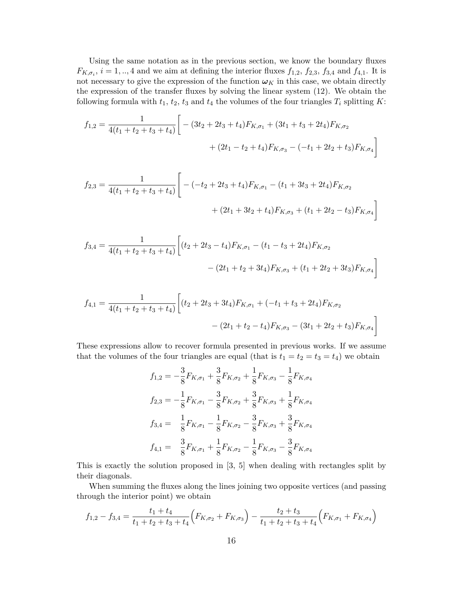Using the same notation as in the previous section, we know the boundary fluxes  $F_{K,\sigma_i}$ ,  $i = 1,..,4$  and we aim at defining the interior fluxes  $f_{1,2}$ ,  $f_{2,3}$ ,  $f_{3,4}$  and  $f_{4,1}$ . It is not necessary to give the expression of the function  $\omega_K$  in this case, we obtain directly the expression of the transfer fluxes by solving the linear system (12). We obtain the following formula with  $t_1$ ,  $t_2$ ,  $t_3$  and  $t_4$  the volumes of the four triangles  $T_i$  splitting  $K$ :

$$
f_{1,2} = \frac{1}{4(t_1 + t_2 + t_3 + t_4)} \bigg[ -(3t_2 + 2t_3 + t_4)F_{K,\sigma_1} + (3t_1 + t_3 + 2t_4)F_{K,\sigma_2} + (2t_1 - t_2 + t_4)F_{K,\sigma_3} - (-t_1 + 2t_2 + t_3)F_{K,\sigma_4} \bigg]
$$

$$
f_{2,3} = \frac{1}{4(t_1 + t_2 + t_3 + t_4)} \Bigg[ -(-t_2 + 2t_3 + t_4)F_{K,\sigma_1} - (t_1 + 3t_3 + 2t_4)F_{K,\sigma_2} + (2t_1 + 3t_2 + t_4)F_{K,\sigma_3} + (t_1 + 2t_2 - t_3)F_{K,\sigma_4} \Bigg]
$$

$$
f_{3,4} = \frac{1}{4(t_1 + t_2 + t_3 + t_4)} \left[ (t_2 + 2t_3 - t_4) F_{K,\sigma_1} - (t_1 - t_3 + 2t_4) F_{K,\sigma_2} - (2t_1 + t_2 + 3t_4) F_{K,\sigma_3} + (t_1 + 2t_2 + 3t_3) F_{K,\sigma_4} \right]
$$

$$
f_{4,1} = \frac{1}{4(t_1 + t_2 + t_3 + t_4)} \left[ (t_2 + 2t_3 + 3t_4) F_{K,\sigma_1} + (-t_1 + t_3 + 2t_4) F_{K,\sigma_2} - (2t_1 + t_2 - t_4) F_{K,\sigma_3} - (3t_1 + 2t_2 + t_3) F_{K,\sigma_4} \right]
$$

These expressions allow to recover formula presented in previous works. If we assume that the volumes of the four triangles are equal (that is  $t_1 = t_2 = t_3 = t_4$ ) we obtain

$$
f_{1,2} = -\frac{3}{8}F_{K,\sigma_1} + \frac{3}{8}F_{K,\sigma_2} + \frac{1}{8}F_{K,\sigma_3} - \frac{1}{8}F_{K,\sigma_4}
$$
  
\n
$$
f_{2,3} = -\frac{1}{8}F_{K,\sigma_1} - \frac{3}{8}F_{K,\sigma_2} + \frac{3}{8}F_{K,\sigma_3} + \frac{1}{8}F_{K,\sigma_4}
$$
  
\n
$$
f_{3,4} = \frac{1}{8}F_{K,\sigma_1} - \frac{1}{8}F_{K,\sigma_2} - \frac{3}{8}F_{K,\sigma_3} + \frac{3}{8}F_{K,\sigma_4}
$$
  
\n
$$
f_{4,1} = \frac{3}{8}F_{K,\sigma_1} + \frac{1}{8}F_{K,\sigma_2} - \frac{1}{8}F_{K,\sigma_3} - \frac{3}{8}F_{K,\sigma_4}
$$

This is exactly the solution proposed in [3, 5] when dealing with rectangles split by their diagonals.

When summing the fluxes along the lines joining two opposite vertices (and passing through the interior point) we obtain

$$
f_{1,2} - f_{3,4} = \frac{t_1 + t_4}{t_1 + t_2 + t_3 + t_4} \Big( F_{K,\sigma_2} + F_{K,\sigma_3} \Big) - \frac{t_2 + t_3}{t_1 + t_2 + t_3 + t_4} \Big( F_{K,\sigma_1} + F_{K,\sigma_4} \Big)
$$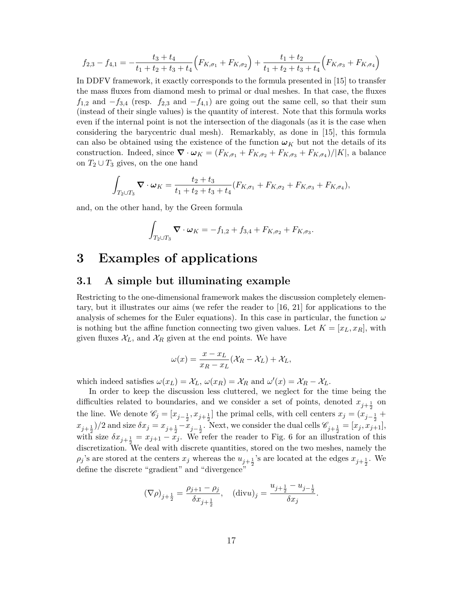$$
f_{2,3} - f_{4,1} = -\frac{t_3 + t_4}{t_1 + t_2 + t_3 + t_4} \Big( F_{K,\sigma_1} + F_{K,\sigma_2} \Big) + \frac{t_1 + t_2}{t_1 + t_2 + t_3 + t_4} \Big( F_{K,\sigma_3} + F_{K,\sigma_4} \Big)
$$

In DDFV framework, it exactly corresponds to the formula presented in [15] to transfer the mass fluxes from diamond mesh to primal or dual meshes. In that case, the fluxes  $f_{1,2}$  and  $-f_{3,4}$  (resp.  $f_{2,3}$  and  $-f_{4,1}$ ) are going out the same cell, so that their sum (instead of their single values) is the quantity of interest. Note that this formula works even if the internal point is not the intersection of the diagonals (as it is the case when considering the barycentric dual mesh). Remarkably, as done in [15], this formula can also be obtained using the existence of the function  $\omega_K$  but not the details of its construction. Indeed, since  $\nabla \cdot \omega_K = (F_{K,\sigma_1} + F_{K,\sigma_2} + F_{K,\sigma_3} + F_{K,\sigma_4})/|K|$ , a balance on  $T_2 \cup T_3$  gives, on the one hand

$$
\int_{T_2 \cup T_3} \mathbf{\nabla} \cdot \boldsymbol{\omega}_K = \frac{t_2 + t_3}{t_1 + t_2 + t_3 + t_4} (F_{K, \sigma_1} + F_{K, \sigma_2} + F_{K, \sigma_3} + F_{K, \sigma_4}),
$$

and, on the other hand, by the Green formula

$$
\int_{T_2 \cup T_3} \mathbf{\nabla} \cdot \boldsymbol{\omega}_K = -f_{1,2} + f_{3,4} + F_{K,\sigma_2} + F_{K,\sigma_3}.
$$

# **3 Examples of applications**

### **3.1 A simple but illuminating example**

Restricting to the one-dimensional framework makes the discussion completely elementary, but it illustrates our aims (we refer the reader to [16, 21] for applications to the analysis of schemes for the Euler equations). In this case in particular, the function  $\omega$ is nothing but the affine function connecting two given values. Let  $K = [x_L, x_R]$ , with given fluxes  $\mathcal{X}_L$ , and  $\mathcal{X}_R$  given at the end points. We have

$$
\omega(x) = \frac{x - x_L}{x_R - x_L} (\mathcal{X}_R - \mathcal{X}_L) + \mathcal{X}_L,
$$

which indeed satisfies  $\omega(x_L) = \mathcal{X}_L$ ,  $\omega(x_R) = \mathcal{X}_R$  and  $\omega'(x) = \mathcal{X}_R - \mathcal{X}_L$ .

In order to keep the discussion less cluttered, we neglect for the time being the difficulties related to boundaries, and we consider a set of points, denoted  $x_{j+\frac{1}{2}}$  on the line. We denote  $\mathscr{C}_j = [x_{j-\frac{1}{2}}, x_{j+\frac{1}{2}}]$  the primal cells, with cell centers  $x_j = (x_{j-\frac{1}{2}} + \cdots + x_{j-\frac{1}{2}})$  $(x_{j+\frac{1}{2}})/2$  and size  $\delta x_j = x_{j+\frac{1}{2}} - x_{j-\frac{1}{2}}$ . Next, we consider the dual cells  $\mathscr{C}_{j+\frac{1}{2}} = [x_j, x_{j+1}],$ with size  $\delta x_{j+\frac{1}{2}} = x_{j+1} - x_j$ . We refer the reader to Fig. 6 for an illustration of this discretization. We deal with discrete quantities, stored on the two meshes, namely the  $\rho_j$ 's are stored at the centers  $x_j$  whereas the  $u_{j+\frac{1}{2}}$ 's are located at the edges  $x_{j+\frac{1}{2}}$ . We define the discrete "gradient" and "divergence"

$$
(\nabla \rho)_{j+\frac{1}{2}} = \frac{\rho_{j+1} - \rho_j}{\delta x_{j+\frac{1}{2}}}, \quad (\text{div} u)_j = \frac{u_{j+\frac{1}{2}} - u_{j-\frac{1}{2}}}{\delta x_j}.
$$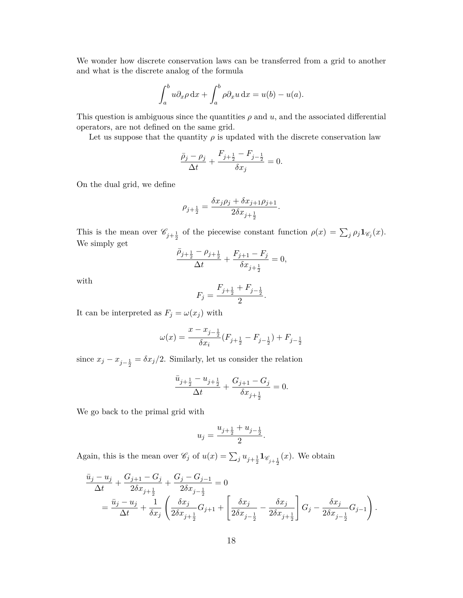We wonder how discrete conservation laws can be transferred from a grid to another and what is the discrete analog of the formula

$$
\int_a^b u \partial_x \rho \, dx + \int_a^b \rho \partial_x u \, dx = u(b) - u(a).
$$

This question is ambiguous since the quantities  $\rho$  and  $u$ , and the associated differential operators, are not defined on the same grid.

Let us suppose that the quantity  $\rho$  is updated with the discrete conservation law

$$
\frac{\bar{\rho}_j - \rho_j}{\Delta t} + \frac{F_{j+\frac{1}{2}} - F_{j-\frac{1}{2}}}{\delta x_j} = 0.
$$

On the dual grid, we define

$$
\rho_{j+\frac{1}{2}} = \frac{\delta x_j \rho_j + \delta x_{j+1} \rho_{j+1}}{2\delta x_{j+\frac{1}{2}}}.
$$

This is the mean over  $\mathscr{C}_{j+\frac{1}{2}}$  of the piecewise constant function  $\rho(x) = \sum_j \rho_j \mathbf{1}_{\mathscr{C}_j}(x)$ . We simply get

$$
\frac{\bar{\rho}_{j+\frac{1}{2}} - \rho_{j+\frac{1}{2}}}{\Delta t} + \frac{F_{j+1} - F_j}{\delta x_{j+\frac{1}{2}}} = 0,
$$

with

$$
F_j = \frac{F_{j+\frac{1}{2}} + F_{j-\frac{1}{2}}}{2}.
$$

It can be interpreted as  $F_j = \omega(x_j)$  with

$$
\omega(x) = \frac{x - x_{j - \frac{1}{2}}}{\delta x_i} (F_{j + \frac{1}{2}} - F_{j - \frac{1}{2}}) + F_{j - \frac{1}{2}}
$$

since  $x_j - x_{j-\frac{1}{2}} = \delta x_j/2$ . Similarly, let us consider the relation

$$
\frac{\bar{u}_{j+\frac{1}{2}} - u_{j+\frac{1}{2}}}{\Delta t} + \frac{G_{j+1} - G_j}{\delta x_{j+\frac{1}{2}}} = 0.
$$

We go back to the primal grid with

$$
u_j = \frac{u_{j+\frac{1}{2}} + u_{j-\frac{1}{2}}}{2}.
$$

Again, this is the mean over  $\mathscr{C}_j$  of  $u(x) = \sum_j u_{j+\frac{1}{2}} \mathbf{1}_{\mathscr{C}_{j+\frac{1}{2}}}(x)$ . We obtain

$$
\frac{\bar{u}_j - u_j}{\Delta t} + \frac{G_{j+1} - G_j}{2\delta x_{j+\frac{1}{2}}} + \frac{G_j - G_{j-1}}{2\delta x_{j-\frac{1}{2}}} = 0
$$
\n
$$
= \frac{\bar{u}_j - u_j}{\Delta t} + \frac{1}{\delta x_j} \left( \frac{\delta x_j}{2\delta x_{j+\frac{1}{2}}} G_{j+1} + \left[ \frac{\delta x_j}{2\delta x_{j-\frac{1}{2}}} - \frac{\delta x_j}{2\delta x_{j+\frac{1}{2}}} \right] G_j - \frac{\delta x_j}{2\delta x_{j-\frac{1}{2}}} G_{j-1} \right).
$$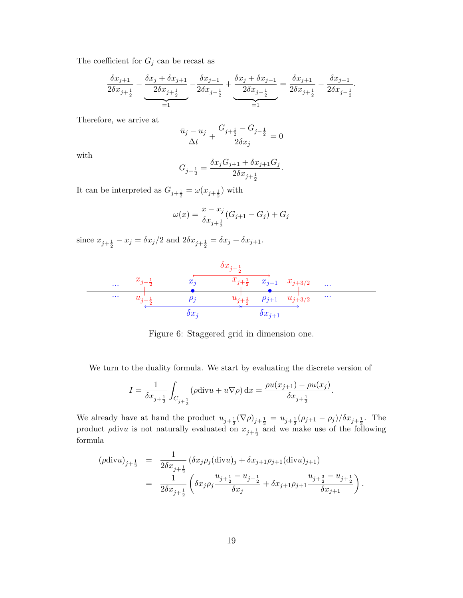The coefficient for  $G_j$  can be recast as

$$
\frac{\delta x_{j+1}}{2\delta x_{j+\frac{1}{2}}} - \underbrace{\frac{\delta x_j + \delta x_{j+1}}{2\delta x_{j+\frac{1}{2}}} - \frac{\delta x_{j-1}}{2\delta x_{j-\frac{1}{2}}} + \underbrace{\frac{\delta x_j + \delta x_{j-1}}{2\delta x_{j-\frac{1}{2}}} = \frac{\delta x_{j+1}}{2\delta x_{j+\frac{1}{2}}} - \frac{\delta x_{j-1}}{2\delta x_{j-\frac{1}{2}}}.
$$

Therefore, we arrive at

$$
\frac{\bar u_j-u_j}{\Delta t}+\frac{G_{j+\frac12}-G_{j-\frac12}}{2\delta x_j}=0
$$

with

$$
G_{j+\frac{1}{2}} = \frac{\delta x_j G_{j+1} + \delta x_{j+1} G_j}{2\delta x_{j+\frac{1}{2}}}.
$$

It can be interpreted as  $G_{j+\frac{1}{2}} = \omega(x_{j+\frac{1}{2}})$  with

$$
\omega(x) = \frac{x - x_j}{\delta x_{j + \frac{1}{2}}} (G_{j + 1} - G_j) + G_j
$$

since  $x_{j+\frac{1}{2}} - x_j = \delta x_j/2$  and  $2\delta x_{j+\frac{1}{2}} = \delta x_j + \delta x_{j+1}$ .



Figure 6: Staggered grid in dimension one.

We turn to the duality formula. We start by evaluating the discrete version of

$$
I = \frac{1}{\delta x_{j+\frac{1}{2}}} \int_{C_{j+\frac{1}{2}}} (\rho \text{div} u + u \nabla \rho) \, dx = \frac{\rho u(x_{j+1}) - \rho u(x_j)}{\delta x_{j+\frac{1}{2}}}.
$$

We already have at hand the product  $u_{j+\frac{1}{2}}(\nabla \rho)_{j+\frac{1}{2}} = u_{j+\frac{1}{2}}(\rho_{j+1} - \rho_j)/\delta x_{j+\frac{1}{2}}$ . The product  $\rho$ div*u* is not naturally evaluated on  $x_{j+\frac{1}{2}}$  and we make use of the following formula

$$
(\rho \text{div} u)_{j+\frac{1}{2}} = \frac{1}{2\delta x_{j+\frac{1}{2}}} (\delta x_j \rho_j (\text{div} u)_j + \delta x_{j+1} \rho_{j+1} (\text{div} u)_{j+1})
$$
  

$$
= \frac{1}{2\delta x_{j+\frac{1}{2}}} \left( \delta x_j \rho_j \frac{u_{j+\frac{1}{2}} - u_{j-\frac{1}{2}}}{\delta x_j} + \delta x_{j+1} \rho_{j+1} \frac{u_{j+\frac{3}{2}} - u_{j+\frac{1}{2}}}{\delta x_{j+1}} \right).
$$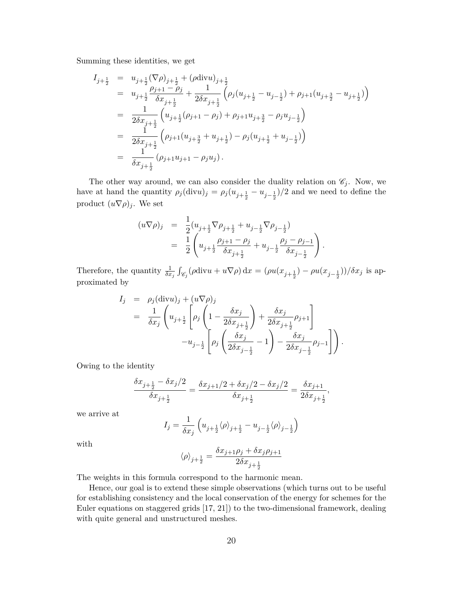Summing these identities, we get

$$
I_{j+\frac{1}{2}} = u_{j+\frac{1}{2}} (\nabla \rho)_{j+\frac{1}{2}} + (\rho \text{div} u)_{j+\frac{1}{2}}
$$
  
\n
$$
= u_{j+\frac{1}{2}} \frac{\rho_{j+1} - \rho_j}{\delta x_{j+\frac{1}{2}}} + \frac{1}{2\delta x_{j+\frac{1}{2}}} (\rho_j (u_{j+\frac{1}{2}} - u_{j-\frac{1}{2}}) + \rho_{j+1} (u_{j+\frac{3}{2}} - u_{j+\frac{1}{2}}))
$$
  
\n
$$
= \frac{1}{2\delta x_{j+\frac{1}{2}}} (u_{j+\frac{1}{2}} (\rho_{j+1} - \rho_j) + \rho_{j+1} u_{j+\frac{3}{2}} - \rho_j u_{j-\frac{1}{2}})
$$
  
\n
$$
= \frac{1}{2\delta x_{j+\frac{1}{2}}} (\rho_{j+1} (u_{j+\frac{3}{2}} + u_{j+\frac{1}{2}}) - \rho_j (u_{j+\frac{1}{2}} + u_{j-\frac{1}{2}}))
$$
  
\n
$$
= \frac{1}{\delta x_{j+\frac{1}{2}}} (\rho_{j+1} u_{j+1} - \rho_j u_j).
$$

The other way around, we can also consider the duality relation on  $\mathcal{C}_j$ . Now, we have at hand the quantity  $\rho_j(\text{div}u)_j = \rho_j(u_{j+\frac{1}{2}} - u_{j-\frac{1}{2}})/2$  and we need to define the product  $(u\nabla \rho)_j$ . We set

$$
(u\nabla \rho)_j = \frac{1}{2} (u_{j+\frac{1}{2}} \nabla \rho_{j+\frac{1}{2}} + u_{j-\frac{1}{2}} \nabla \rho_{j-\frac{1}{2}})
$$
  
= 
$$
\frac{1}{2} \left( u_{j+\frac{1}{2}} \frac{\rho_{j+1} - \rho_j}{\delta x_{j+\frac{1}{2}}} + u_{j-\frac{1}{2}} \frac{\rho_j - \rho_{j-1}}{\delta x_{j-\frac{1}{2}}} \right)
$$

*.*

Therefore, the quantity  $\frac{1}{\delta x_j} \int_{\mathscr{C}_j} (\rho \text{div} u + u \nabla \rho) dx = (\rho u(x_{j+\frac{1}{2}}) - \rho u(x_{j-\frac{1}{2}})) / \delta x_j$  is approximated by

$$
I_j = \rho_j(\text{div}u)_j + (u\nabla \rho)_j
$$
  
=  $\frac{1}{\delta x_j} \left( u_{j+\frac{1}{2}} \left[ \rho_j \left( 1 - \frac{\delta x_j}{2\delta x_{j+\frac{1}{2}}} \right) + \frac{\delta x_j}{2\delta x_{j+\frac{1}{2}}} \rho_{j+1} \right] - u_{j-\frac{1}{2}} \left[ \rho_j \left( \frac{\delta x_j}{2\delta x_{j-\frac{1}{2}}} - 1 \right) - \frac{\delta x_j}{2\delta x_{j-\frac{1}{2}}} \rho_{j-1} \right] \right).$ 

Owing to the identity

$$
\frac{\delta x_{j+\frac{1}{2}} - \delta x_j/2}{\delta x_{j+\frac{1}{2}}} = \frac{\delta x_{j+1}/2 + \delta x_j/2 - \delta x_j/2}{\delta x_{j+\frac{1}{2}}} = \frac{\delta x_{j+1}}{2\delta x_{j+\frac{1}{2}}},
$$

we arrive at

$$
I_j = \frac{1}{\delta x_j} \left( u_{j+\frac{1}{2}} \langle \rho \rangle_{j+\frac{1}{2}} - u_{j-\frac{1}{2}} \langle \rho \rangle_{j-\frac{1}{2}} \right)
$$

with

$$
\langle \rho \rangle_{j+\frac{1}{2}} = \frac{\delta x_{j+1} \rho_j + \delta x_j \rho_{j+1}}{2 \delta x_{j+\frac{1}{2}}}
$$

The weights in this formula correspond to the harmonic mean.

Hence, our goal is to extend these simple observations (which turns out to be useful for establishing consistency and the local conservation of the energy for schemes for the Euler equations on staggered grids [17, 21]) to the two-dimensional framework, dealing with quite general and unstructured meshes.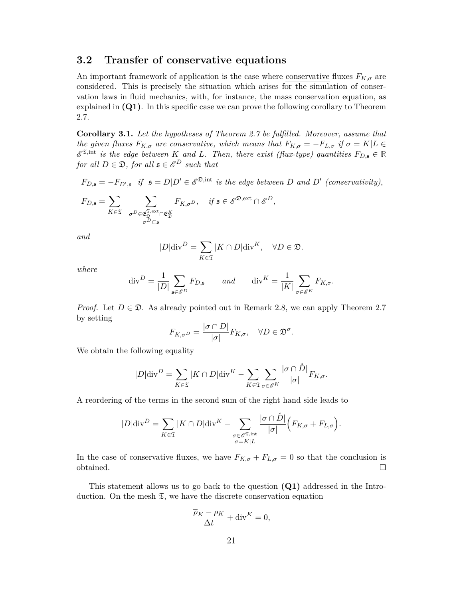### **3.2 Transfer of conservative equations**

An important framework of application is the case where conservative fluxes  $F_{K,\sigma}$  are considered. This is precisely the situation which arises for the simulation of conservation laws in fluid mechanics, with, for instance, the mass conservation equation, as explained in **(Q1)**. In this specific case we can prove the following corollary to Theorem 2.7.

**Corollary 3.1.** *Let the hypotheses of Theorem 2.7 be fulfilled. Moreover, assume that the given fluxes*  $F_{K,\sigma}$  *are conservative, which means that*  $F_{K,\sigma} = -F_{L,\sigma}$  *if*  $\sigma = K|L \in$  $\mathscr{E}^{\mathfrak{T},\mathrm{int}}$  *is the edge between K and L.* Then, there exist (flux-type) quantities  $F_{D,\mathfrak{s}} \in \mathbb{R}$ *for all*  $D \in \mathfrak{D}$ *, for all*  $\mathfrak{s} \in \mathscr{E}^D$  *such that* 

 $F_{D, \mathfrak{s}} = -F_{D', \mathfrak{s}}$  *if*  $\mathfrak{s} = D|D' \in \mathscr{E}^{\mathfrak{D}, \mathrm{int}}$  *is the edge between D* and *D'* (conservativity),

$$
F_{D,\mathfrak{s}}=\sum_{K\in \mathfrak{T}}\ \ \sum_{\substack{\sigma^D\in \mathfrak{E}_\mathfrak{D}^{\mathfrak{T},\mathrm{ext}}\cap \mathfrak{E}_\mathfrak{D}^K\\\sigma^D\subset \mathfrak{s}}}F_{K,\sigma^D},\quad \textit{if $\mathfrak{s}\in \mathscr{E}^{\mathfrak{D},\mathrm{ext}}\cap \mathscr{E}^D$},
$$

*and*

$$
|D|\mathrm{div}^D = \sum_{K \in \mathfrak{T}} |K \cap D|\mathrm{div}^K, \quad \forall D \in \mathfrak{D}.
$$

*where*

$$
\operatorname{div}^D = \frac{1}{|D|} \sum_{\mathfrak{s} \in \mathcal{E}^D} F_{D,\mathfrak{s}} \qquad and \qquad \operatorname{div}^K = \frac{1}{|K|} \sum_{\sigma \in \mathcal{E}^K} F_{K,\sigma}.
$$

*Proof.* Let  $D \in \mathcal{D}$ . As already pointed out in Remark 2.8, we can apply Theorem 2.7 by setting

$$
F_{K,\sigma D} = \frac{|\sigma \cap D|}{|\sigma|} F_{K,\sigma}, \quad \forall D \in \mathfrak{D}^{\sigma}.
$$

We obtain the following equality

$$
|D|\text{div}^{D} = \sum_{K \in \mathfrak{T}} |K \cap D|\text{div}^{K} - \sum_{K \in \mathfrak{T}} \sum_{\sigma \in \mathcal{E}^{K}} \frac{|\sigma \cap \mathring{D}|}{|\sigma|} F_{K,\sigma}.
$$

A reordering of the terms in the second sum of the right hand side leads to

$$
|D|\text{div}^{D} = \sum_{K \in \mathfrak{T}} |K \cap D|\text{div}^{K} - \sum_{\substack{\sigma \in \mathcal{E}^{\mathfrak{T}, \text{int}} \\ \sigma = K|L}} \frac{|\sigma \cap \mathring{D}|}{|\sigma|} \Big( F_{K,\sigma} + F_{L,\sigma} \Big).
$$

In the case of conservative fluxes, we have  $F_{K,\sigma} + F_{L,\sigma} = 0$  so that the conclusion is obtained.  $\Box$ 

This statement allows us to go back to the question **(Q1)** addressed in the Introduction. On the mesh  $\mathfrak{T}$ , we have the discrete conservation equation

$$
\frac{\overline{\rho}_K - \rho_K}{\Delta t} + \text{div}^K = 0,
$$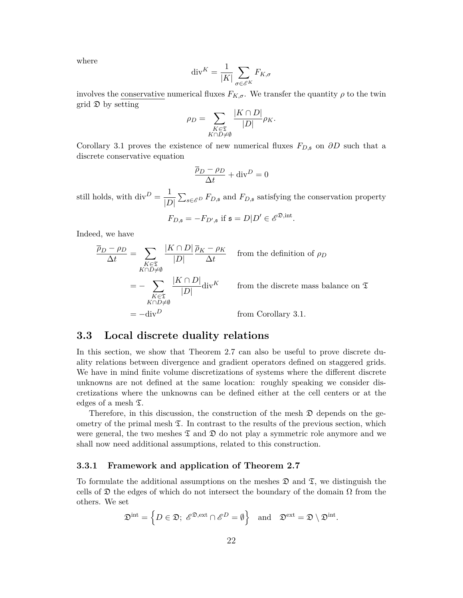where

$$
\operatorname{div}^K = \frac{1}{|K|} \sum_{\sigma \in \mathscr{E}^K} F_{K,\sigma}
$$

involves the <u>conservative</u> numerical fluxes  $F_{K,\sigma}$ . We transfer the quantity  $\rho$  to the twin grid  $\mathfrak D$  by setting

$$
\rho_D = \sum_{\substack{K \in \mathfrak{T} \\ K \cap D \neq \emptyset}} \frac{|K \cap D|}{|D|} \rho_K.
$$

Corollary 3.1 proves the existence of new numerical fluxes  $F_{D,\mathfrak{s}}$  on  $\partial D$  such that a discrete conservative equation

$$
\frac{\overline{\rho}_D - \rho_D}{\Delta t} + \text{div}^D = 0
$$

still holds, with  $div^D = \frac{1}{\sqrt{D}}$  $\frac{1}{|D|}$   $\sum_{s \in \mathcal{E}^D} F_{D,s}$  and  $F_{D,s}$  satisfying the conservation property

$$
F_{D,\mathfrak{s}} = -F_{D',\mathfrak{s}} \text{ if } \mathfrak{s} = D|D' \in \mathcal{E}^{\mathfrak{D},\text{int}}.
$$

Indeed, we have

$$
\frac{\overline{\rho}_D - \rho_D}{\Delta t} = \sum_{\substack{K \in \mathfrak{T} \\ K \cap D \neq \emptyset}} \frac{|K \cap D|}{|D|} \frac{\overline{\rho}_K - \rho_K}{\Delta t} \quad \text{from the definition of } \rho_D
$$

$$
= - \sum_{\substack{K \in \mathfrak{T} \\ K \cap D \neq \emptyset}} \frac{|K \cap D|}{|D|} \text{div}^K \quad \text{from the discrete mass balance on } \mathfrak{T}
$$

$$
= -\text{div}^D \quad \text{from Corollary 3.1.}
$$

### **3.3 Local discrete duality relations**

In this section, we show that Theorem 2.7 can also be useful to prove discrete duality relations between divergence and gradient operators defined on staggered grids. We have in mind finite volume discretizations of systems where the different discrete unknowns are not defined at the same location: roughly speaking we consider discretizations where the unknowns can be defined either at the cell centers or at the edges of a mesh  $\mathfrak{T}$ .

Therefore, in this discussion, the construction of the mesh  $\mathfrak D$  depends on the geometry of the primal mesh  $\mathfrak{T}$ . In contrast to the results of the previous section, which were general, the two meshes  $\mathfrak T$  and  $\mathfrak D$  do not play a symmetric role anymore and we shall now need additional assumptions, related to this construction.

#### **3.3.1 Framework and application of Theorem 2.7**

To formulate the additional assumptions on the meshes  $\mathfrak{D}$  and  $\mathfrak{T}$ , we distinguish the cells of  $\mathfrak D$  the edges of which do not intersect the boundary of the domain  $\Omega$  from the others. We set

$$
\mathfrak{D}^{\mathrm{int}} = \left\{ D \in \mathfrak{D}; \ \mathscr{E}^{\mathfrak{D}, \mathrm{ext}} \cap \mathscr{E}^D = \emptyset \right\} \ \ \text{and} \ \ \mathfrak{D}^{\mathrm{ext}} = \mathfrak{D} \setminus \mathfrak{D}^{\mathrm{int}}.
$$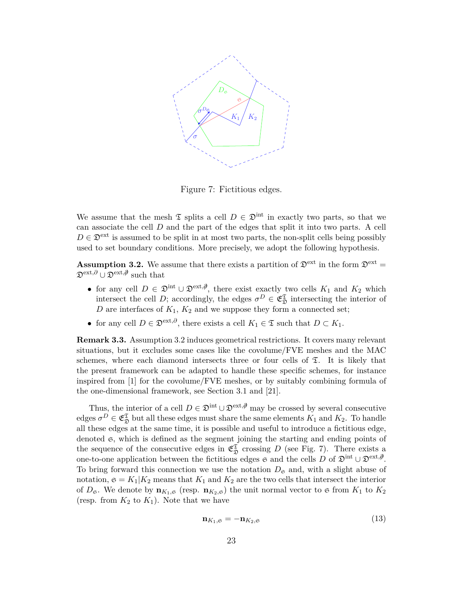

Figure 7: Fictitious edges.

We assume that the mesh  $\mathfrak T$  splits a cell  $D \in \mathfrak D^{\rm int}$  in exactly two parts, so that we can associate the cell *D* and the part of the edges that split it into two parts. A cell  $D \in \mathfrak{D}^{\text{ext}}$  is assumed to be split in at most two parts, the non-split cells being possibly used to set boundary conditions. More precisely, we adopt the following hypothesis.

**Assumption 3.2.** We assume that there exists a partition of  $\mathfrak{D}^{\text{ext}}$  in the form  $\mathfrak{D}^{\text{ext}}$ Dext*,∂* ∪ Dext*,∂/* such that

- for any cell  $D \in \mathfrak{D}^{\text{int}} \cup \mathfrak{D}^{\text{ext},\emptyset}$ , there exist exactly two cells  $K_1$  and  $K_2$  which intersect the cell *D*; accordingly, the edges  $\sigma^D \in \mathfrak{E}_{\mathfrak{D}}^{\mathfrak{T}}$  intersecting the interior of *D* are interfaces of  $K_1$ ,  $K_2$  and we suppose they form a connected set;
- for any cell  $D \in \mathfrak{D}^{\text{ext},\partial}$ , there exists a cell  $K_1 \in \mathfrak{T}$  such that  $D \subset K_1$ .

**Remark 3.3.** Assumption 3.2 induces geometrical restrictions. It covers many relevant situations, but it excludes some cases like the covolume/FVE meshes and the MAC schemes, where each diamond intersects three or four cells of  $\Sigma$ . It is likely that the present framework can be adapted to handle these specific schemes, for instance inspired from [1] for the covolume/FVE meshes, or by suitably combining formula of the one-dimensional framework, see Section 3.1 and [21].

Thus, the interior of a cell  $D \in \mathfrak{D}^{\text{int}} \cup \mathfrak{D}^{\text{ext},\emptyset}$  may be crossed by several consecutive edges  $\sigma^D \in \mathfrak{E}_{\mathfrak{D}}^{\mathfrak{T}}$  but all these edges must share the same elements  $K_1$  and  $K_2$ . To handle all these edges at the same time, it is possible and useful to introduce a fictitious edge, denoted  $\mathfrak{S}$ , which is defined as the segment joining the starting and ending points of the sequence of the consecutive edges in  $\mathfrak{E}_{\mathfrak{D}}^{\mathfrak{T}}$  crossing *D* (see Fig. 7). There exists a one-to-one application between the fictitious edges  $\epsilon$  and the cells *D* of  $\mathfrak{D}^{\text{int}} \cup \mathfrak{D}^{\text{ext},\emptyset}$ . To bring forward this connection we use the notation  $D<sub>g</sub>$  and, with a slight abuse of notation,  $\mathfrak{s} = K_1 | K_2$  means that  $K_1$  and  $K_2$  are the two cells that intersect the interior of  $D_{\mathfrak{S}}$ . We denote by  $\mathbf{n}_{K_1,\mathfrak{S}}$  (resp.  $\mathbf{n}_{K_2,\mathfrak{S}}$ ) the unit normal vector to  $\mathfrak{S}$  from  $K_1$  to  $K_2$ (resp. from  $K_2$  to  $K_1$ ). Note that we have

$$
\mathbf{n}_{K_1,\mathfrak{S}} = -\mathbf{n}_{K_2,\mathfrak{S}} \tag{13}
$$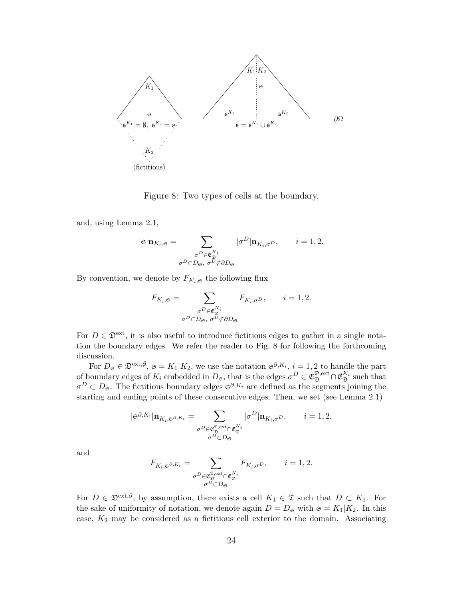

Figure 8: Two types of cells at the boundary.

and, using Lemma 2.1,

$$
|\mathfrak{S}| \mathbf{n}_{K_i, \mathfrak{S}} = \sum_{\substack{\sigma^D \in \mathfrak{E}_{\mathfrak{D}}^{K_i} \\ \sigma^D \subset D_{\mathfrak{S}}, \sigma^D \not\subset \partial D_{\mathfrak{S}}}} |\sigma^D| \mathbf{n}_{K_i, \sigma^D}, \qquad i = 1, 2.
$$

By convention, we denote by  $F_{K_i, \mathfrak{S}}$  the following flux

$$
F_{K_i, \mathfrak{S}} = \sum_{\substack{\sigma^D \in \mathfrak{E}_{\mathfrak{D}}^{K_i} \\ \sigma^D \subset D_{\mathfrak{S}}, \sigma^D \not\subset \partial D_{\mathfrak{S}}}} F_{K_i, \sigma^D}, \qquad i = 1, 2.
$$

For  $D \in \mathcal{D}^{\text{ext}}$ , it is also useful to introduce fictitious edges to gather in a single notation the boundary edges. We refer the reader to Fig. 8 for following the forthcoming discussion.

For  $D_{\mathfrak{S}} \in \mathfrak{D}^{\text{ext},\emptyset}$ ,  $\mathfrak{S} = K_1 | K_2$ , we use the notation  $\mathfrak{S}^{\partial,K_i}$ ,  $i = 1,2$  to handle the part of boundary edges of  $K_i$  embedded in  $D_{\mathfrak{S}}$ , that is the edges  $\sigma^D \in \mathfrak{E}_{\mathfrak{D}}^{\mathfrak{D}, \text{ext}} \cap \mathfrak{E}_{\mathfrak{D}}^{K_i}$  such that  $\sigma^D \subset D_{\mathfrak{S}}$ . The fictitious boundary edges  $\mathfrak{S}^{\partial, K_i}$  are defined as the segments joining the starting and ending points of these consecutive edges. Then, we set (see Lemma 2.1)

$$
|\mathfrak{S}^{\partial,K_i}| \mathbf{n}_{K_i,\mathfrak{S}^{\partial,K_i}} = \sum_{\substack{\sigma^D \in \mathfrak{E}_\mathfrak{D}^{\mathfrak{T},\mathrm{ext}} \cap \mathfrak{E}_\mathfrak{D}^{\bar{K}_i} \\ \sigma^D \subset D_{\mathfrak{S}}}} |\sigma^D | \mathbf{n}_{K_i,\sigma^D}, \qquad i=1,2.
$$

and

$$
F_{K_i,\mathfrak{S}^{\partial,K_i}}=\sum_{\substack{\sigma^D\in \mathfrak{E}_\mathfrak{D}^{\mathfrak{T},\mathrm{ext}}\cap \mathfrak{E}_\mathfrak{D}^{\bar{K}_i}\\ \sigma^D\subset D_{\mathfrak{S}}}}F_{K_i,\sigma^D},\qquad i=1,2.
$$

For  $D \in \mathfrak{D}^{\text{ext},\partial}$ , by assumption, there exists a cell  $K_1 \in \mathfrak{T}$  such that  $D \subset K_1$ . For the sake of uniformity of notation, we denote again  $D = D_{\mathfrak{S}}$  with  $\mathfrak{S} = K_1|K_2$ . In this case, *K*<sup>2</sup> may be considered as a fictitious cell exterior to the domain. Associating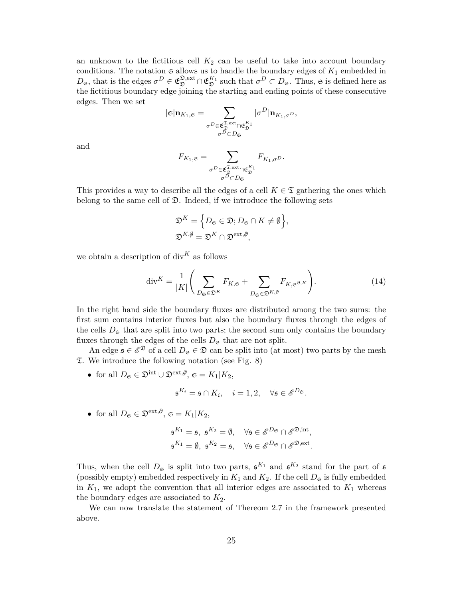an unknown to the fictitious cell  $K_2$  can be useful to take into account boundary conditions. The notation  $\mathfrak g$  allows us to handle the boundary edges of  $K_1$  embedded in  $D_{\mathfrak{S}}$ , that is the edges  $\sigma^D \in \mathfrak{E}_{\mathfrak{D}}^{\mathfrak{D},\text{ext}} \cap \mathfrak{E}_{\mathfrak{D}}^{K_1}$  such that  $\sigma^D \subset D_{\mathfrak{S}}$ . Thus,  $\mathfrak{S}$  is defined here as the fictitious boundary edge joining the starting and ending points of these consecutive edges. Then we set

$$
|\mathfrak{S}|{\mathbf {n}}_{K_1,\mathfrak{S}}=\sum_{\substack{\sigma^D\in \mathfrak{E}_\mathfrak{D}^{\mathfrak{T},\mathrm{ext}}\cap \mathfrak{E}_\mathfrak{D}^{K_1}\\ \sigma^D\subset D_{\mathfrak{S}}}}|\sigma^D|{\mathbf {n}}_{K_1,\sigma^D},
$$

and

$$
F_{K_1,\mathfrak{S}}=\sum_{\substack{\sigma^D\in \mathfrak{E}_\mathfrak{D}^{\mathfrak{X},\mathrm{ext}}\cap \mathfrak{E}_\mathfrak{D}^{K_1}\\ \sigma^D\subset D_{\mathfrak{S}}}}F_{K_1,\sigma^D}.
$$

This provides a way to describe all the edges of a cell  $K \in \mathfrak{T}$  gathering the ones which belong to the same cell of  $\mathfrak{D}$ . Indeed, if we introduce the following sets

$$
\mathfrak{D}^K = \Big\{ D_{\mathfrak{S}} \in \mathfrak{D}; D_{\mathfrak{S}} \cap K \neq \emptyset \Big\},
$$
  

$$
\mathfrak{D}^{K, \emptyset} = \mathfrak{D}^K \cap \mathfrak{D}^{\text{ext}, \emptyset},
$$

we obtain a description of div*<sup>K</sup>* as follows

$$
\operatorname{div}^{K} = \frac{1}{|K|} \left( \sum_{D_{\mathfrak{S}} \in \mathfrak{D}^{K}} F_{K, \mathfrak{S}} + \sum_{D_{\mathfrak{S}} \in \mathfrak{D}^{K, \beta}} F_{K, \mathfrak{S}^{\partial, K}} \right).
$$
(14)

In the right hand side the boundary fluxes are distributed among the two sums: the first sum contains interior fluxes but also the boundary fluxes through the edges of the cells  $D_{\mathfrak{S}}$  that are split into two parts; the second sum only contains the boundary fluxes through the edges of the cells  $D_{\mathfrak{S}}$  that are not split.

An edge  $\mathfrak{s} \in \mathcal{E}^{\mathfrak{D}}$  of a cell  $D_{\mathfrak{S}} \in \mathfrak{D}$  can be split into (at most) two parts by the mesh T. We introduce the following notation (see Fig. 8)

• for all  $D_{\mathfrak{S}} \in \mathfrak{D}^{\text{int}} \cup \mathfrak{D}^{\text{ext},\emptyset}$ ,  $\mathfrak{S} = K_1 | K_2$ ,

$$
\mathfrak{s}^{K_i} = \mathfrak{s} \cap K_i, \quad i = 1, 2, \quad \forall \mathfrak{s} \in \mathscr{E}^{D_{\mathfrak{S}}}.
$$

• for all  $D_{\mathfrak{S}} \in \mathfrak{D}^{\text{ext},\partial}, \mathfrak{S} = K_1 | K_2,$ 

$$
\begin{aligned} \mathfrak{s}^{K_1} &= \mathfrak{s}, \ \mathfrak{s}^{K_2} = \emptyset, \quad \forall \mathfrak{s} \in \mathscr{E}^{D_{\mathfrak{S}}} \cap \mathscr{E}^{\mathfrak{D}, \text{int}}, \\ \mathfrak{s}^{K_1} &= \emptyset, \ \mathfrak{s}^{K_2} &= \mathfrak{s}, \quad \forall \mathfrak{s} \in \mathscr{E}^{D_{\mathfrak{S}}} \cap \mathscr{E}^{\mathfrak{D}, \text{ext}}. \end{aligned}
$$

Thus, when the cell  $D_{\mathfrak{S}}$  is split into two parts,  $\mathfrak{s}^{K_1}$  and  $\mathfrak{s}^{K_2}$  stand for the part of  $\mathfrak{s}$ (possibly empty) embedded respectively in  $K_1$  and  $K_2$ . If the cell  $D_{\mathfrak{S}}$  is fully embedded in  $K_1$ , we adopt the convention that all interior edges are associated to  $K_1$  whereas the boundary edges are associated to  $K_2$ .

We can now translate the statement of Thereom 2.7 in the framework presented above.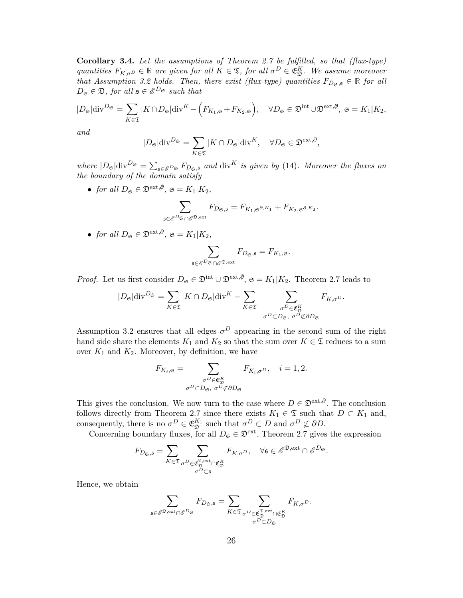**Corollary 3.4.** *Let the assumptions of Theorem 2.7 be fulfilled, so that (flux-type) quantities*  $F_{K,\sigma}$   $\in \mathbb{R}$  *are given for all*  $K \in \mathfrak{T}$ *, for all*  $\sigma^D \in \mathfrak{E}^K_{\mathfrak{D}}$ *. We assume moreover that Assumption 3.2 holds. Then, there exist (flux-type) quantities*  $F_{D_{\mathfrak{S}},\mathfrak{s}} \in \mathbb{R}$  for all  $D_{\mathfrak{S}} \in \mathfrak{D}$ *, for all*  $\mathfrak{s} \in \mathscr{E}^{D_{\mathfrak{S}}}$  *such that* 

$$
|D_{\mathfrak{S}}| \text{div}^{D_{\mathfrak{S}}} = \sum_{K \in \mathfrak{T}} |K \cap D_{\mathfrak{S}}| \text{div}^{K} - \left(F_{K_{1}, \mathfrak{S}} + F_{K_{2}, \mathfrak{S}}\right), \quad \forall D_{\mathfrak{S}} \in \mathfrak{D}^{\text{int}} \cup \mathfrak{D}^{\text{ext}, \emptyset}, \ \mathfrak{S} = K_{1} | K_{2},
$$

*and*

$$
|D_{\mathfrak{S}}|{\rm div}^{D_{\mathfrak{S}}}=\sum_{K\in\mathfrak{T}}|K\cap D_{\mathfrak{S}}|{\rm div}^K,\quad\forall D_{\mathfrak{S}}\in\mathfrak{D}^{\rm ext,\partial},
$$

 $where \, |D_{\mathfrak{S}}| \text{div}^{D_{\mathfrak{S}}} = \sum_{\mathfrak{s} \in \mathcal{E}^{D_{\mathfrak{S}}} F_{D_{\mathfrak{S}},\mathfrak{s}}} \, and \, \text{div}^{K} \, is \, given \, by \, (14).$  Moreover the fluxes on *the boundary of the domain satisfy*

• *for all*  $D_{\mathfrak{S}} \in \mathfrak{D}^{\text{ext},\emptyset}$ ,  $\mathfrak{S} = K_1 | K_2$ ,

$$
\sum_{\mathfrak{s}\in \mathscr{E}^D\mathfrak{s}\cap \mathscr{E}^{\mathfrak{D},\mathrm{ext}}}F_{D_{\mathfrak{S}},\mathfrak{s}}=F_{K_1,\mathfrak{s}^{\partial,K_1}}+F_{K_2,\mathfrak{s}^{\partial,K_2}}.
$$

• *for all*  $D_{\mathfrak{S}} \in \mathfrak{D}^{\text{ext},\partial}, \mathfrak{S} = K_1 | K_2,$ 

$$
\sum_{\mathfrak{s}\in \mathscr{E}^D\mathfrak{S}\cap \mathscr{E}^{\mathfrak{D},\mathrm{ext}}}F_{D_{\mathfrak{S}},\mathfrak{s}}=F_{K_1,\mathfrak{S}}.
$$

*Proof.* Let us first consider  $D_{\mathfrak{S}} \in \mathfrak{D}^{\text{int}} \cup \mathfrak{D}^{\text{ext},\emptyset}$ ,  $\mathfrak{S} = K_1 | K_2$ . Theorem 2.7 leads to

$$
|D_{\mathfrak{S}}| \text{div}^{D_{\mathfrak{S}}} = \sum_{K \in \mathfrak{T}} |K \cap D_{\mathfrak{S}}| \text{div}^{K} - \sum_{K \in \mathfrak{T}} \sum_{\substack{\sigma^{D} \in \mathfrak{E}_{\mathfrak{D}}^{K} \\ \sigma^{D} \subset D_{\mathfrak{S}}, \sigma^{D} \nsubseteq \partial D_{\mathfrak{S}}}} F_{K, \sigma^{D}}.
$$

Assumption 3.2 ensures that all edges  $\sigma^D$  appearing in the second sum of the right hand side share the elements  $K_1$  and  $K_2$  so that the sum over  $K \in \mathfrak{T}$  reduces to a sum over  $K_1$  and  $K_2$ . Moreover, by definition, we have

$$
F_{K_i, \mathfrak{S}} = \sum_{\substack{\sigma^D \in \mathfrak{E}_{\mathfrak{D}}^K \\ \sigma^D \subset D_{\mathfrak{S}}, \sigma^D \not\subset \partial D_{\mathfrak{S}}}} F_{K_i, \sigma^D}, \quad i = 1, 2.
$$

This gives the conclusion. We now turn to the case where  $D \in \mathfrak{D}^{\text{ext},\partial}$ . The conclusion follows directly from Theorem 2.7 since there exists  $K_1 \in \mathfrak{T}$  such that  $D \subset K_1$  and, consequently, there is no  $\sigma^D \in \mathfrak{E}_{\mathfrak{D}}^{K_1}$  such that  $\sigma^D \subset D$  and  $\sigma^D \not\subset \partial D$ .

Concerning boundary fluxes, for all  $D_{\mathfrak{S}} \in \mathfrak{D}^{\text{ext}}$ , Theorem 2.7 gives the expression

$$
F_{D_{\mathfrak{S}},\mathfrak{s}} = \sum_{K \in \mathfrak{T}} \sum_{\substack{\sigma^D \in \mathfrak{E}_\mathfrak{D}^{\mathfrak{S},\mathrm{ext}} \cap \mathfrak{E}_\mathfrak{D}^K \\ \sigma^D \subset \mathfrak{s}}} F_{K,\sigma^D}, \quad \forall \mathfrak{s} \in \mathscr{E}^{\mathfrak{D},\mathrm{ext}} \cap \mathscr{E}^{D_{\mathfrak{S}}}.
$$

Hence, we obtain

$$
\sum_{\mathfrak{s}\in \mathscr{E}^{\mathfrak{D}, \mathrm{ext}}\cap \mathscr{E}^D \mathrm{G}} F_{D_{\mathfrak{S}}, \mathfrak{s}} = \sum_{K\in \mathfrak{T}} \sum_{\substack{\sigma^D\in \mathfrak{E}_\mathfrak{D}^{\mathfrak{T}, \mathrm{ext}}\cap \mathfrak{E}_\mathfrak{D}^K \\ \sigma^D\subset D_{\mathfrak{S}}}} F_{K, \sigma^D}.
$$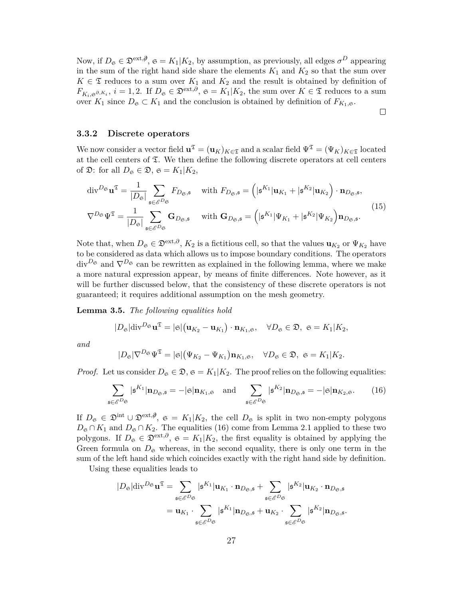Now, if  $D_{\mathfrak{S}} \in \mathfrak{D}^{\text{ext}, \emptyset}$ ,  $\mathfrak{S} = K_1 | K_2$ , by assumption, as previously, all edges  $\sigma^D$  appearing in the sum of the right hand side share the elements  $K_1$  and  $K_2$  so that the sum over  $K \in \mathfrak{T}$  reduces to a sum over  $K_1$  and  $K_2$  and the result is obtained by definition of  $F_{K_i, \mathfrak{S}^{\partial, K_i}}$ ,  $i = 1, 2$ . If  $D_{\mathfrak{S}} \in \mathfrak{D}^{\text{ext}, \partial}$ ,  $\mathfrak{S} = K_1 | K_2$ , the sum over  $K \in \mathfrak{T}$  reduces to a sum over  $K_1$  since  $D_{\mathfrak{S}} \subset K_1$  and the conclusion is obtained by definition of  $F_{K_1,\mathfrak{S}}$ .

 $\Box$ 

#### **3.3.2 Discrete operators**

We now consider a vector field  $\mathbf{u}^{\mathfrak{T}} = (\mathbf{u}_K)_{K \in \mathfrak{T}}$  and a scalar field  $\Psi^{\mathfrak{T}} = (\Psi_K)_{K \in \mathfrak{T}}$  located at the cell centers of  $\Sigma$ . We then define the following discrete operators at cell centers of  $\mathfrak{D}$ : for all  $D_{\mathfrak{S}} \in \mathfrak{D}$ ,  $\mathfrak{S} = K_1 | K_2$ ,

$$
\operatorname{div}^{D_{\mathfrak{S}}} \mathbf{u}^{\mathfrak{T}} = \frac{1}{|D_{\mathfrak{S}}|} \sum_{\mathfrak{s} \in \mathcal{E}^{D_{\mathfrak{S}}}} F_{D_{\mathfrak{S}},\mathfrak{s}} \quad \text{with } F_{D_{\mathfrak{S}},\mathfrak{s}} = \left( |\mathfrak{s}^{K_1} | \mathbf{u}_{K_1} + |\mathfrak{s}^{K_2} | \mathbf{u}_{K_2} \right) \cdot \mathbf{n}_{D_{\mathfrak{S}},\mathfrak{s}},
$$
  

$$
\nabla^{D_{\mathfrak{S}}} \Psi^{\mathfrak{T}} = \frac{1}{|D_{\mathfrak{S}}|} \sum_{\mathfrak{s} \in \mathcal{E}^{D_{\mathfrak{S}}}} \mathbf{G}_{D_{\mathfrak{S}},\mathfrak{s}} \quad \text{with } \mathbf{G}_{D_{\mathfrak{S}},\mathfrak{s}} = \left( |\mathfrak{s}^{K_1} | \Psi_{K_1} + |\mathfrak{s}^{K_2} | \Psi_{K_2} \right) \mathbf{n}_{D_{\mathfrak{S}},\mathfrak{s}}.
$$
<sup>(15)</sup>

Note that, when  $D_{\mathfrak{S}} \in \mathfrak{D}^{\text{ext},\partial}$ ,  $K_2$  is a fictitious cell, so that the values  $\mathbf{u}_{K_2}$  or  $\Psi_{K_2}$  have to be considered as data which allows us to impose boundary conditions. The operators  $div^{D_{\mathfrak{S}}}$  and  $\nabla^{D_{\mathfrak{S}}}$  can be rewritten as explained in the following lemma, where we make a more natural expression appear, by means of finite differences. Note however, as it will be further discussed below, that the consistency of these discrete operators is not guaranteed; it requires additional assumption on the mesh geometry.

**Lemma 3.5.** *The following equalities hold*

$$
|D_{\mathfrak{S}}|\mathrm{div}^{D_{\mathfrak{S}}}\mathbf{u}^{\mathfrak{T}}=|\mathfrak{S}|(\mathbf{u}_{K_2}-\mathbf{u}_{K_1})\cdot\mathbf{n}_{K_1,\mathfrak{S}},\quad\forall D_{\mathfrak{S}}\in\mathfrak{D},\ \mathfrak{S}=K_1|K_2,
$$

*and*

$$
|D_{\mathfrak{S}}|\nabla^{D_{\mathfrak{S}}}\Psi^{\mathfrak{T}}=|\mathfrak{S}|(\Psi_{K_2}-\Psi_{K_1})\mathbf{n}_{K_1,\mathfrak{S}},\quad\forall D_{\mathfrak{S}}\in\mathfrak{D},\ \mathfrak{S}=K_1|K_2.
$$

*Proof.* Let us consider  $D_{\mathfrak{S}} \in \mathfrak{D}$ ,  $\mathfrak{S} = K_1 | K_2$ . The proof relies on the following equalities:

$$
\sum_{\mathfrak{s}\in\mathcal{E}^{D_{\mathfrak{S}}}}|\mathfrak{s}^{K_{1}}|\mathbf{n}_{D_{\mathfrak{S}},\mathfrak{s}}=-|\mathfrak{S}|\mathbf{n}_{K_{1},\mathfrak{S}}\quad\text{and}\quad\sum_{\mathfrak{s}\in\mathcal{E}^{D_{\mathfrak{S}}}}|\mathfrak{s}^{K_{2}}|\mathbf{n}_{D_{\mathfrak{S}},\mathfrak{s}}=-|\mathfrak{S}|\mathbf{n}_{K_{2},\mathfrak{S}}.\tag{16}
$$

If  $D_{\mathfrak{S}} \in \mathfrak{D}^{\text{int}} \cup \mathfrak{D}^{\text{ext},\emptyset}$ ,  $\mathfrak{S} = K_1 | K_2$ , the cell  $D_{\mathfrak{S}}$  is split in two non-empty polygons  $D_{\mathfrak{S}} \cap K_1$  and  $D_{\mathfrak{S}} \cap K_2$ . The equalities (16) come from Lemma 2.1 applied to these two polygons. If  $D_{\mathfrak{S}} \in \mathfrak{D}^{\text{ext},\partial}$ ,  $\mathfrak{S} = K_1 | K_2$ , the first equality is obtained by applying the Green formula on  $D_{\mathfrak{S}}$  whereas, in the second equality, there is only one term in the sum of the left hand side which coincides exactly with the right hand side by definition.

Using these equalities leads to

$$
|D_{\mathfrak{S}}| \text{div}^{D_{\mathfrak{S}}} \mathbf{u}^{\mathfrak{T}} = \sum_{\mathfrak{s} \in \mathscr{E}^{D_{\mathfrak{S}}}} |\mathfrak{s}^{K_{1}}| \mathbf{u}_{K_{1}} \cdot \mathbf{n}_{D_{\mathfrak{S}},\mathfrak{s}} + \sum_{\mathfrak{s} \in \mathscr{E}^{D_{\mathfrak{S}}}} |\mathfrak{s}^{K_{2}}| \mathbf{u}_{K_{2}} \cdot \mathbf{n}_{D_{\mathfrak{S}},\mathfrak{s}} = \mathbf{u}_{K_{1}} \cdot \sum_{\mathfrak{s} \in \mathscr{E}^{D_{\mathfrak{S}}}} |\mathfrak{s}^{K_{1}}| \mathbf{n}_{D_{\mathfrak{S}},\mathfrak{s}} + \mathbf{u}_{K_{2}} \cdot \sum_{\mathfrak{s} \in \mathscr{E}^{D_{\mathfrak{S}}}} |\mathfrak{s}^{K_{2}}| \mathbf{n}_{D_{\mathfrak{S}},\mathfrak{s}}.
$$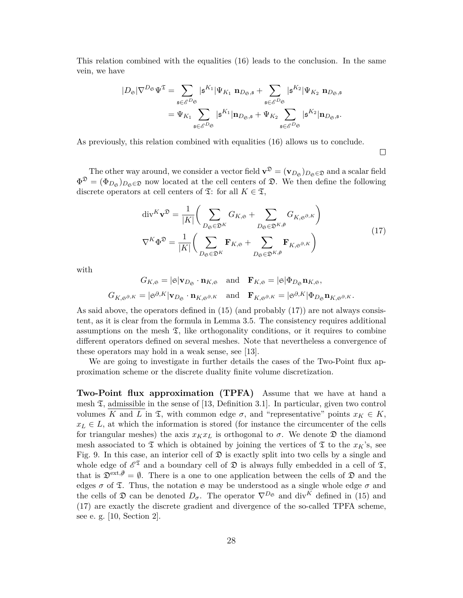This relation combined with the equalities (16) leads to the conclusion. In the same vein, we have

$$
\begin{aligned} |D_{\mathfrak{S}}| \nabla^{D_{\mathfrak{S}}} \Psi^{\mathfrak{T}}&=\sum_{\mathfrak{s}\in \mathscr{E}^{D_{\mathfrak{S}}}} |\mathfrak{s}^{K_{1}}| \Psi_{K_{1}} \ \mathbf{n}_{D_{\mathfrak{S}},\mathfrak{s}}+\sum_{\mathfrak{s}\in \mathscr{E}^{D_{\mathfrak{S}}}} |\mathfrak{s}^{K_{2}}| \Psi_{K_{2}} \ \mathbf{n}_{D_{\mathfrak{S}},\mathfrak{s}}\\ &=\Psi_{K_{1}} \sum_{\mathfrak{s}\in \mathscr{E}^{D_{\mathfrak{S}}}} |\mathfrak{s}^{K_{1}}| \mathbf{n}_{D_{\mathfrak{S}},\mathfrak{s}}+\Psi_{K_{2}} \sum_{\mathfrak{s}\in \mathscr{E}^{D_{\mathfrak{S}}}} |\mathfrak{s}^{K_{2}}| \mathbf{n}_{D_{\mathfrak{S}},\mathfrak{s}}. \end{aligned}
$$

As previously, this relation combined with equalities (16) allows us to conclude.

 $\Box$ 

The other way around, we consider a vector field  $\mathbf{v}^{\mathfrak{D}} = (\mathbf{v}_{D_{\mathfrak{S}}})_{D_{\mathfrak{S}} \in \mathfrak{D}}$  and a scalar field  $\Phi^{\mathfrak{D}} = (\Phi_{D_{\mathfrak{S}}})_{D_{\mathfrak{S}} \in \mathfrak{D}}$  now located at the cell centers of  $\mathfrak{D}$ . We then define the following discrete operators at cell centers of  $\mathfrak{T}$ : for all  $K \in \mathfrak{T}$ ,

$$
\operatorname{div}^{K} \mathbf{v}^{\mathfrak{D}} = \frac{1}{|K|} \bigg( \sum_{D_{\mathfrak{S}} \in \mathfrak{D}^{K}} G_{K, \mathfrak{S}} + \sum_{D_{\mathfrak{S}} \in \mathfrak{D}^{K}, \mathfrak{D}} G_{K, \mathfrak{S}^{\partial, K}} \bigg)
$$
  

$$
\nabla^{K} \Phi^{\mathfrak{D}} = \frac{1}{|K|} \bigg( \sum_{D_{\mathfrak{S}} \in \mathfrak{D}^{K}} \mathbf{F}_{K, \mathfrak{S}} + \sum_{D_{\mathfrak{S}} \in \mathfrak{D}^{K}, \mathfrak{D}} \mathbf{F}_{K, \mathfrak{S}^{\partial, K}} \bigg)
$$
(17)

with

$$
G_{K,\mathfrak{S}} = |\mathfrak{S}|\mathbf{v}_{D_{\mathfrak{S}}} \cdot \mathbf{n}_{K,\mathfrak{S}} \quad \text{and} \quad \mathbf{F}_{K,\mathfrak{S}} = |\mathfrak{S}|\Phi_{D_{\mathfrak{S}}}\mathbf{n}_{K,\mathfrak{S}},
$$
  

$$
G_{K,\mathfrak{S}^{\partial,K}} = |\mathfrak{S}^{\partial,K}|\mathbf{v}_{D_{\mathfrak{S}}} \cdot \mathbf{n}_{K,\mathfrak{S}^{\partial,K}} \quad \text{and} \quad \mathbf{F}_{K,\mathfrak{S}^{\partial,K}} = |\mathfrak{S}^{\partial,K}|\Phi_{D_{\mathfrak{S}}}\mathbf{n}_{K,\mathfrak{S}^{\partial,K}}.
$$

As said above, the operators defined in (15) (and probably (17)) are not always consistent, as it is clear from the formula in Lemma 3.5. The consistency requires additional assumptions on the mesh  $\mathfrak{T}$ , like orthogonality conditions, or it requires to combine different operators defined on several meshes. Note that nevertheless a convergence of these operators may hold in a weak sense, see [13].

We are going to investigate in further details the cases of the Two-Point flux approximation scheme or the discrete duality finite volume discretization.

**Two-Point flux approximation (TPFA)** Assume that we have at hand a mesh  $\mathfrak{T}$ , admissible in the sense of [13, Definition 3.1]. In particular, given two control volumes *K* and *L* in  $\mathfrak{T}$ , with common edge  $\sigma$ , and "representative" points  $x_K \in K$ ,  $x_L \in L$ , at which the information is stored (for instance the circumcenter of the cells for triangular meshes) the axis  $x_K x_L$  is orthogonal to  $\sigma$ . We denote  $\mathfrak D$  the diamond mesh associated to  $\mathfrak T$  which is obtained by joining the vertices of  $\mathfrak T$  to the  $x_K$ 's, see Fig. 9. In this case, an interior cell of  $\mathfrak D$  is exactly split into two cells by a single and whole edge of  $\mathscr{E}^{\mathfrak{T}}$  and a boundary cell of  $\mathfrak{D}$  is always fully embedded in a cell of  $\mathfrak{T}$ , that is  $\mathfrak{D}^{\text{ext},\emptyset}=\emptyset$ . There is a one to one application between the cells of  $\mathfrak D$  and the edges  $\sigma$  of  $\mathfrak T$ . Thus, the notation  $\mathfrak S$  may be understood as a single whole edge  $\sigma$  and the cells of  $\mathfrak D$  can be denoted  $D_{\sigma}$ . The operator  $\nabla^{D_{\mathfrak S}}$  and div<sup>K</sup> defined in (15) and (17) are exactly the discrete gradient and divergence of the so-called TPFA scheme, see e. g. [10, Section 2].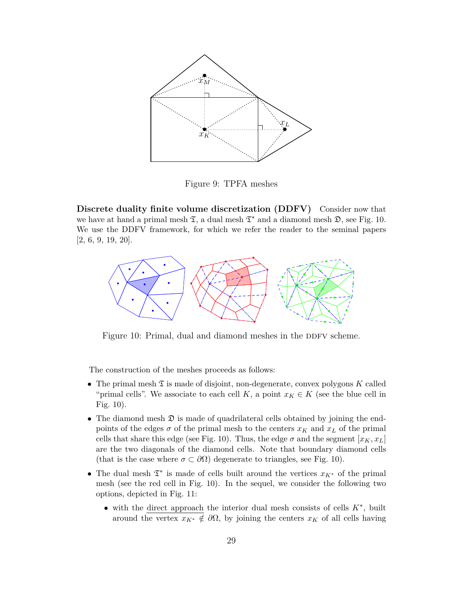

Figure 9: TPFA meshes

**Discrete duality finite volume discretization (DDFV)** Consider now that we have at hand a primal mesh  $\mathfrak{T}$ , a dual mesh  $\mathfrak{T}^*$  and a diamond mesh  $\mathfrak{D}$ , see Fig. 10. We use the DDFV framework, for which we refer the reader to the seminal papers [2, 6, 9, 19, 20].



Figure 10: Primal, dual and diamond meshes in the DDFV scheme.

The construction of the meshes proceeds as follows:

- The primal mesh  $\mathfrak T$  is made of disjoint, non-degenerate, convex polygons K called "primal cells". We associate to each cell *K*, a point  $x_K \in K$  (see the blue cell in Fig. 10).
- The diamond mesh  $\mathfrak D$  is made of quadrilateral cells obtained by joining the endpoints of the edges  $\sigma$  of the primal mesh to the centers  $x_K$  and  $x_L$  of the primal cells that share this edge (see Fig. 10). Thus, the edge  $\sigma$  and the segment  $[x_K, x_L]$ are the two diagonals of the diamond cells. Note that boundary diamond cells (that is the case where  $\sigma \subset \partial\Omega$ ) degenerate to triangles, see Fig. 10).
- The dual mesh T ∗ is made of cells built around the vertices *xK*<sup>∗</sup> of the primal mesh (see the red cell in Fig. 10). In the sequel, we consider the following two options, depicted in Fig. 11:
	- with the direct approach the interior dual mesh consists of cells *K*<sup>∗</sup> , built around the vertex  $x_{K^*} \notin \partial \Omega$ , by joining the centers  $x_K$  of all cells having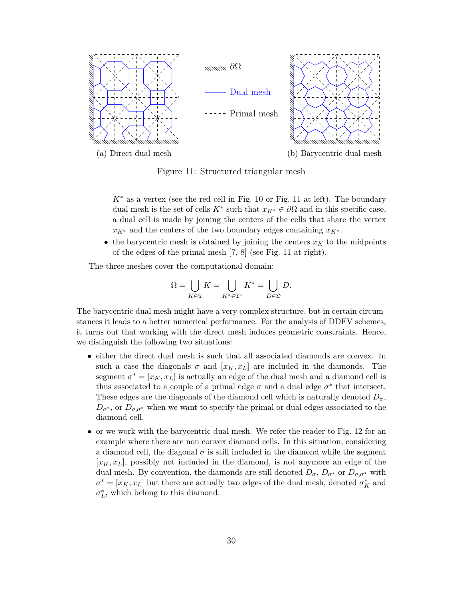

Figure 11: Structured triangular mesh

 $K^*$  as a vertex (see the red cell in Fig. 10 or Fig. 11 at left). The boundary dual mesh is the set of cells  $K^*$  such that  $x_{K^*} \in \partial\Omega$  and in this specific case, a dual cell is made by joining the centers of the cells that share the vertex  $x_{K^*}$  and the centers of the two boundary edges containing  $x_{K^*}$ .

• the barycentric mesh is obtained by joining the centers  $x_K$  to the midpoints of the edges of the primal mesh [7, 8] (see Fig. 11 at right).

The three meshes cover the computational domain:

$$
\Omega = \bigcup_{K \in \mathfrak{T}} K = \bigcup_{K^* \in \mathfrak{T}^*} K^* = \bigcup_{D \in \mathfrak{D}} D.
$$

The barycentric dual mesh might have a very complex structure, but in certain circumstances it leads to a better numerical performance. For the analysis of DDFV schemes, it turns out that working with the direct mesh induces geometric constraints. Hence, we distinguish the following two situations:

- either the direct dual mesh is such that all associated diamonds are convex. In such a case the diagonals  $\sigma$  and  $[x_K, x_L]$  are included in the diamonds. The segment  $\sigma^* = [x_K, x_L]$  is actually an edge of the dual mesh and a diamond cell is thus associated to a couple of a primal edge  $\sigma$  and a dual edge  $\sigma^*$  that intersect. These edges are the diagonals of the diamond cell which is naturally denoted  $D_{\sigma}$ ,  $D_{\sigma^*}$ , or  $D_{\sigma,\sigma^*}$  when we want to specify the primal or dual edges associated to the diamond cell.
- or we work with the barycentric dual mesh. We refer the reader to Fig. 12 for an example where there are non convex diamond cells. In this situation, considering a diamond cell, the diagonal  $\sigma$  is still included in the diamond while the segment  $[x<sub>K</sub>, x<sub>L</sub>]$ , possibly not included in the diamond, is not anymore an edge of the dual mesh. By convention, the diamonds are still denoted  $D_{\sigma}$ ,  $D_{\sigma^*}$  or  $D_{\sigma,\sigma^*}$  with  $\sigma^* = [x_K, x_L]$  but there are actually two edges of the dual mesh, denoted  $\sigma^*_K$  and  $\sigma_L^*$ , which belong to this diamond.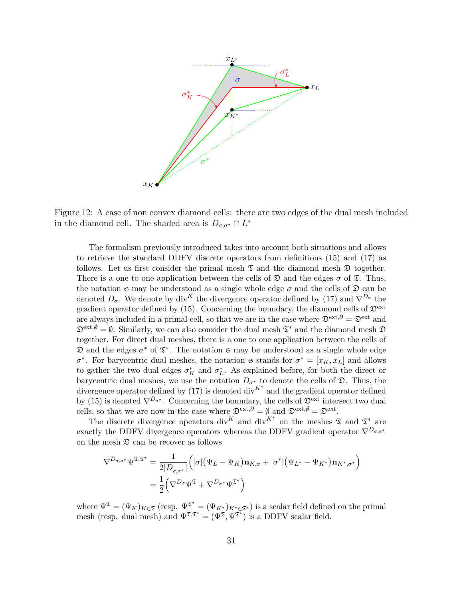

Figure 12: A case of non convex diamond cells: there are two edges of the dual mesh included in the diamond cell. The shaded area is  $D_{\sigma,\sigma^*} \cap L^*$ 

The formalism previously introduced takes into account both situations and allows to retrieve the standard DDFV discrete operators from definitions (15) and (17) as follows. Let us first consider the primal mesh  $\mathfrak T$  and the diamond mesh  $\mathfrak D$  together. There is a one to one application between the cells of  $\mathfrak D$  and the edges  $\sigma$  of  $\mathfrak T$ . Thus, the notation  $\mathfrak S$  may be understood as a single whole edge  $\sigma$  and the cells of  $\mathfrak D$  can be denoted  $D_{\sigma}$ . We denote by div<sup>K</sup> the divergence operator defined by (17) and  $\nabla^{D_{\sigma}}$  the gradient operator defined by (15). Concerning the boundary, the diamond cells of  $\mathfrak{D}^{\text{ext}}$ are always included in a primal cell, so that we are in the case where  $\mathfrak{D}^{\text{ext},\partial} = \mathfrak{D}^{\text{ext}}$  and  $\mathfrak{D}^{\text{ext},\emptyset}=\emptyset$ . Similarly, we can also consider the dual mesh  $\mathfrak{T}^*$  and the diamond mesh  $\mathfrak{D}$ together. For direct dual meshes, there is a one to one application between the cells of  $\mathfrak D$  and the edges  $\sigma^*$  of  $\mathfrak T^*$ . The notation  $\mathfrak S$  may be understood as a single whole edge *σ*<sup>\*</sup>. For barycentric dual meshes, the notation  $\mathfrak{S}$  stands for  $\sigma^* = [x_K, x_L]$  and allows to gather the two dual edges  $\sigma_K^*$  and  $\sigma_L^*$ . As explained before, for both the direct or barycentric dual meshes, we use the notation  $D_{\sigma^*}$  to denote the cells of  $\mathfrak{D}$ . Thus, the divergence operator defined by (17) is denoted div*K*<sup>∗</sup> and the gradient operator defined by (15) is denoted  $\nabla^{D_{\sigma^*}}$ . Concerning the boundary, the cells of  $\mathfrak{D}^{\text{ext}}$  intersect two dual cells, so that we are now in the case where  $\mathfrak{D}^{\text{ext},\partial} = \emptyset$  and  $\mathfrak{D}^{\text{ext},\partial} = \mathfrak{D}^{\text{ext}}$ .

The discrete divergence operators div<sup>K</sup> and div<sup>K\*</sup> on the meshes  $\mathfrak T$  and  $\mathfrak T^*$  are exactly the DDFV divergence operators whereas the DDFV gradient operator  $\nabla^{D_{\sigma,\sigma^*}}$ on the mesh  $\mathfrak D$  can be recover as follows

$$
\nabla^{D_{\sigma,\sigma^*}} \Psi^{\mathfrak{T},\mathfrak{T}^*} = \frac{1}{2|D_{\sigma,\sigma^*}|} \Big( |\sigma| (\Psi_L - \Psi_K) \mathbf{n}_{K,\sigma} + |\sigma^*| (\Psi_{L^*} - \Psi_{K^*}) \mathbf{n}_{K^*,\sigma^*} \Big)
$$
  
= 
$$
\frac{1}{2} \Big( \nabla^{D_{\sigma}} \Psi^{\mathfrak{T}} + \nabla^{D_{\sigma^*}} \Psi^{\mathfrak{T}^*} \Big)
$$

where  $\Psi^{\mathfrak{T}} = (\Psi_K)_{K \in \mathfrak{T}}$  (resp.  $\Psi^{\mathfrak{T}^*} = (\Psi_{K^*})_{K^* \in \mathfrak{T}^*}$ ) is a scalar field defined on the primal mesh (resp. dual mesh) and  $\Psi^{\mathfrak{T},\mathfrak{T}^*} = (\Psi^{\mathfrak{T}}, \Psi^{\mathfrak{T}^*})$  is a DDFV scalar field.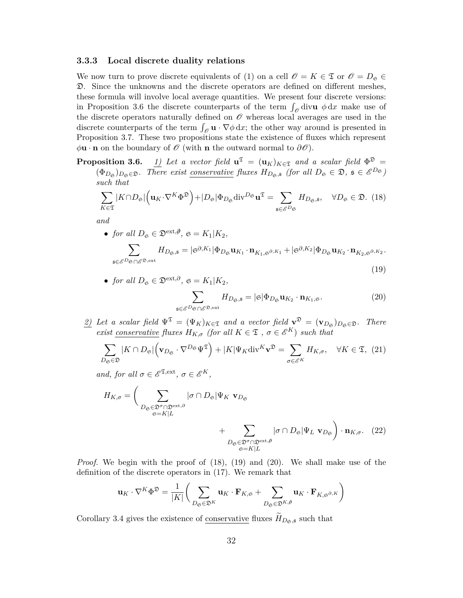#### **3.3.3 Local discrete duality relations**

We now turn to prove discrete equivalents of (1) on a cell  $\mathscr{O} = K \in \mathfrak{T}$  or  $\mathscr{O} = D_{\mathfrak{S}} \in$ D. Since the unknowns and the discrete operators are defined on different meshes, these formula will involve local average quantities. We present four discrete versions: in Proposition 3.6 the discrete counterparts of the term  $\int_{\mathscr{O}}$  div**u**  $\phi$  dx make use of the discrete operators naturally defined on  $\mathcal O$  whereas local averages are used in the discrete counterparts of the term  $\int_{\mathscr{O}} \mathbf{u} \cdot \nabla \phi \, dx$ ; the other way around is presented in Proposition 3.7. These two propositions state the existence of fluxes which represent  $\phi$ **u** · **n** on the boundary of  $\mathcal{O}$  (with **n** the outward normal to  $\partial\mathcal{O}$ ).

**Proposition 3.6.** *1)* Let a vector field  $\mathbf{u}^{\mathfrak{T}} = (\mathbf{u}_K)_{K \in \mathfrak{T}}$  and a scalar field  $\Phi^{\mathfrak{D}} =$  $(\Phi_{D_{\mathfrak{S}}})_{D_{\mathfrak{S}} \in \mathfrak{D}}$ *. There exist <u>conservative</u> fluxes*  $H_{D_{\mathfrak{S}},\mathfrak{s}}$  (for all  $D_{\mathfrak{S}} \in \mathfrak{D}$ ,  $\mathfrak{s} \in \mathcal{E}^{D_{\mathfrak{S}}}$ ) *such that*

$$
\sum_{K\in\mathfrak{T}}|K\cap D_{\mathfrak{S}}|\left(\mathbf{u}_{K}\cdot\nabla^{K}\Phi^{\mathfrak{D}}\right)+|D_{\mathfrak{S}}|\Phi_{D_{\mathfrak{S}}}\mathrm{div}^{D_{\mathfrak{S}}}\mathbf{u}^{\mathfrak{T}}=\sum_{\mathfrak{s}\in\mathscr{E}^{D_{\mathfrak{S}}}}H_{D_{\mathfrak{S}},\mathfrak{s}},\quad\forall D_{\mathfrak{S}}\in\mathfrak{D}.\tag{18}
$$

*and*

• *for all*  $D_{\mathfrak{S}} \in \mathfrak{D}^{\text{ext},\emptyset}$ ,  $\mathfrak{S} = K_1 | K_2$ ,

$$
\sum_{\mathfrak{s}\in\mathcal{E}^D\mathfrak{s}\cap\mathcal{E}^{\mathfrak{D},\mathrm{ext}}}H_{D_{\mathfrak{S}},\mathfrak{s}}=|\mathfrak{S}^{\partial,K_1}|\Phi_{D_{\mathfrak{S}}}\mathbf{u}_{K_1}\cdot\mathbf{n}_{K_1,\mathfrak{S}^{\partial,K_1}}+|\mathfrak{S}^{\partial,K_2}|\Phi_{D_{\mathfrak{S}}}\mathbf{u}_{K_2}\cdot\mathbf{n}_{K_2,\mathfrak{S}^{\partial,K_2}}.\tag{19}
$$

• *for all*  $D_{\mathfrak{S}} \in \mathfrak{D}^{\text{ext},\partial}, \mathfrak{S} = K_1 | K_2,$ 

$$
\sum_{\mathfrak{s}\in\mathcal{E}^D\mathfrak{S}\cap\mathcal{E}^{\mathfrak{D},\mathrm{ext}}}H_{D_{\mathfrak{S}},\mathfrak{s}}=|\mathfrak{S}|\Phi_{D_{\mathfrak{S}}}u_{K_2}\cdot\mathbf{n}_{K_1,\mathfrak{S}}.\tag{20}
$$

 $\frac{2}{2}$  *Let a scalar field*  $\Psi^{\mathfrak{T}} = (\Psi_K)_{K \in \mathfrak{T}}$  *and a vector field*  $\mathbf{v}^{\mathfrak{D}} = (\mathbf{v}_{D_{\mathfrak{S}}})_{D_{\mathfrak{S}} \in \mathfrak{D}}$ *. There exist conservative fluxes*  $H_{K,\sigma}$  *(for all*  $K \in \mathfrak{T}$  *,*  $\sigma \in \mathcal{E}^K$ *) such that* 

$$
\sum_{D_{\mathfrak{S}} \in \mathfrak{D}} |K \cap D_{\mathfrak{S}}| \Big(\mathbf{v}_{D_{\mathfrak{S}}} \cdot \nabla^{D_{\mathfrak{S}}} \Psi^{\mathfrak{T}} \Big) + |K| \Psi_K \text{div}^K \mathbf{v}^{\mathfrak{D}} = \sum_{\sigma \in \mathcal{E}^K} H_{K,\sigma}, \quad \forall K \in \mathfrak{T}, \tag{21}
$$

*and, for all*  $\sigma \in \mathscr{E}^{\mathfrak{T},\mathrm{ext}}, \sigma \in \mathscr{E}^K$ ,

$$
H_{K,\sigma} = \left(\sum_{\substack{D_{\mathfrak{S}} \in \mathfrak{D}^{\sigma} \cap \mathfrak{D}^{\text{ext},\partial} \\ \mathfrak{S} = K|L}} |\sigma \cap D_{\mathfrak{S}}| \Psi_K \mathbf{v}_{D_{\mathfrak{S}}} + \sum_{\substack{D_{\mathfrak{S}} \in \mathfrak{D}^{\sigma} \cap \mathfrak{D}^{\text{ext},\partial} \\ \mathfrak{S} = K|L}} |\sigma \cap D_{\mathfrak{S}}| \Psi_L \mathbf{v}_{D_{\mathfrak{S}}}\right) \cdot \mathbf{n}_{K,\sigma}. (22)
$$

*Proof.* We begin with the proof of (18), (19) and (20). We shall make use of the definition of the discrete operators in (17). We remark that

$$
\mathbf{u}_K \cdot \nabla^K \Phi^{\mathfrak{D}} = \frac{1}{|K|} \bigg( \sum_{D_{\mathfrak{S}} \in \mathfrak{D}^K} \mathbf{u}_K \cdot \mathbf{F}_{K, \mathfrak{S}} + \sum_{D_{\mathfrak{S}} \in \mathfrak{D}^{K, \beta}} \mathbf{u}_K \cdot \mathbf{F}_{K, \mathfrak{S}^{\partial, K}} \bigg)
$$

Corollary 3.4 gives the existence of conservative fluxes  $H_{D_{\mathfrak{S}},\mathfrak{s}}$  such that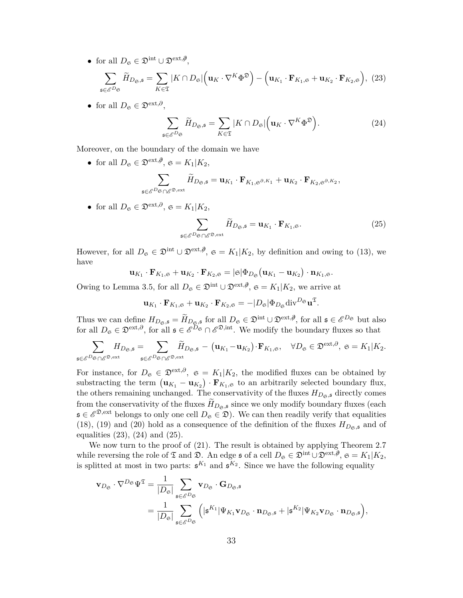• for all  $D_{\mathfrak{S}} \in \mathfrak{D}^{\text{int}} \cup \mathfrak{D}^{\text{ext},\emptyset},$ 

$$
\sum_{\mathbf{s}\in\mathscr{E}^{D_{\mathfrak{S}}}}\widetilde{H}_{D_{\mathfrak{S}},\mathbf{s}}=\sum_{K\in\mathfrak{T}}|K\cap D_{\mathfrak{S}}|\Big(\mathbf{u}_K\cdot\nabla^K\Phi^{\mathfrak{D}}\Big)-\Big(\mathbf{u}_{K_1}\cdot\mathbf{F}_{K_1,\mathbf{s}}+\mathbf{u}_{K_2}\cdot\mathbf{F}_{K_2,\mathbf{s}}\Big),\tag{23}
$$

• for all  $D_{\mathfrak{S}} \in \mathfrak{D}^{\text{ext},\partial}$ ,

$$
\sum_{\mathfrak{s}\in\mathcal{E}^{D_{\mathfrak{S}}}}\widetilde{H}_{D_{\mathfrak{S}},\mathfrak{s}}=\sum_{K\in\mathfrak{T}}|K\cap D_{\mathfrak{S}}|\Big(\mathbf{u}_K\cdot\nabla^K\Phi^{\mathfrak{D}}\Big). \tag{24}
$$

Moreover, on the boundary of the domain we have

- for all  $D_{\mathfrak{S}} \in \mathfrak{D}^{\text{ext},\emptyset}$ ,  $\mathfrak{S} = K_1 | K_2$ ,  $\sum$ s∈E *<sup>D</sup>*<sup>S</sup> ∩E <sup>D</sup>*,*ext  $H_{D_{\mathfrak{S}}, \mathfrak{s}} = \mathbf{u}_{K_1} \cdot \mathbf{F}_{K_1, \mathfrak{S}^{\partial, K_1}} + \mathbf{u}_{K_2} \cdot \mathbf{F}_{K_2, \mathfrak{S}^{\partial, K_2}},$
- for all  $D_{\mathfrak{S}} \in \mathfrak{D}^{\text{ext},\partial}, \mathfrak{S} = K_1 | K_2,$

$$
\sum_{\mathfrak{s}\in\mathscr{E}^D\mathfrak{S}\cap\mathscr{E}^{\mathfrak{D},\mathrm{ext}}}\widetilde{H}_{D_{\mathfrak{S}},\mathfrak{s}}=\mathbf{u}_{K_1}\cdot\mathbf{F}_{K_1,\mathfrak{S}}.\tag{25}
$$

However, for all  $D_{\mathfrak{S}} \in \mathfrak{D}^{\text{int}} \cup \mathfrak{D}^{\text{ext},\emptyset}$ ,  $\mathfrak{S} = K_1 | K_2$ , by definition and owing to (13), we have

$$
\mathbf{u}_{K_1}\cdot\mathbf{F}_{K_1,\mathfrak{S}}+\mathbf{u}_{K_2}\cdot\mathbf{F}_{K_2,\mathfrak{S}}=|\mathfrak{S}|\Phi_{D_{\mathfrak{S}}}\big(\mathbf{u}_{K_1}-\mathbf{u}_{K_2}\big)\cdot\mathbf{n}_{K_1,\mathfrak{S}}.
$$

Owing to Lemma 3.5, for all  $D_{\mathfrak{S}} \in \mathfrak{D}^{\text{int}} \cup \mathfrak{D}^{\text{ext}, \emptyset}$ ,  $\mathfrak{S} = K_1 | K_2$ , we arrive at

$$
\mathbf{u}_{K_1}\cdot\mathbf{F}_{K_1,\mathfrak{S}}+\mathbf{u}_{K_2}\cdot\mathbf{F}_{K_2,\mathfrak{S}}=-|D_{\mathfrak{S}}|\Phi_{D_{\mathfrak{S}}}\mathrm{div}^{D_{\mathfrak{S}}}\mathbf{u}^{\mathfrak{T}}.
$$

Thus we can define  $H_{D_{\mathfrak{S}},\mathfrak{s}} = \widetilde{H}_{D_{\mathfrak{S}},\mathfrak{s}}$  for all  $D_{\mathfrak{S}} \in \mathfrak{D}^{\text{int}} \cup \mathfrak{D}^{\text{ext},\emptyset}$ , for all  $\mathfrak{s} \in \mathcal{E}^{D_{\mathfrak{S}}}$  but also for all  $D_{\mathfrak{S}} \in \mathfrak{D}^{\text{ext}, \partial}$ , for all  $\mathfrak{s} \in \mathscr{E}^{D_{\mathfrak{S}}} \cap \mathscr{E}^{\mathfrak{D}, \text{int}}$ . We modify the boundary fluxes so that

$$
\sum_{\mathfrak{s}\in \mathscr{E}^D\mathfrak{s}\cap \mathscr{E}^{\mathfrak{D},\mathrm{ext}}}H_{D_{\mathfrak{S}},\mathfrak{s}}=\sum_{\mathfrak{s}\in \mathscr{E}^D\mathfrak{s}\cap \mathscr{E}^{\mathfrak{D},\mathrm{ext}}} \widetilde{H}_{D_{\mathfrak{S}},\mathfrak{s}}-\left(\mathbf{u}_{K_1}-\mathbf{u}_{K_2}\right)\cdot \mathbf{F}_{K_1,\mathfrak{S}},\quad \forall D_{\mathfrak{S}}\in \mathfrak{D}^{\mathrm{ext},\partial},\ \mathfrak{s}=K_1|K_2.
$$

For instance, for  $D_{\mathfrak{S}} \in \mathfrak{D}^{\text{ext},\partial}$ ,  $\mathfrak{S} = K_1 | K_2$ , the modified fluxes can be obtained by substracting the term  $(\mathbf{u}_{K_1} - \mathbf{u}_{K_2}) \cdot \mathbf{F}_{K_1,\mathfrak{S}}$  to an arbitrarily selected boundary flux, the others remaining unchanged. The conservativity of the fluxes  $H_{D_{\mathfrak{S}},\mathfrak{s}}$  directly comes from the conservativity of the fluxes  $\widetilde{H}_{D_{\mathfrak{S}},\mathfrak{s}}$  since we only modify boundary fluxes (each  $\mathfrak{s} \in \mathscr{E}^{\mathfrak{D}, \text{ext}}$  belongs to only one cell  $D_{\mathfrak{S}} \in \mathfrak{D}$ ). We can then readily verify that equalities (18), (19) and (20) hold as a consequence of the definition of the fluxes  $H_{D_{\mathfrak{S},\mathfrak{S}}}$  and of equalities  $(23)$ ,  $(24)$  and  $(25)$ .

We now turn to the proof of (21). The result is obtained by applying Theorem 2.7 while reversing the role of  $\mathfrak T$  and  $\mathfrak D$ . An edge  $\mathfrak s$  of a cell  $D_\mathfrak S\in\mathfrak D^{\rm int}\cup\mathfrak D^{\rm ext,\emptyset},\ \mathfrak S=K_1|K_2,$ is splitted at most in two parts:  $\mathfrak{s}^{K_1}$  and  $\mathfrak{s}^{K_2}$ . Since we have the following equality

$$
\mathbf{v}_{D_{\mathfrak{S}}} \cdot \nabla^{D_{\mathfrak{S}}} \Psi^{\mathfrak{T}} = \frac{1}{|D_{\mathfrak{S}}|} \sum_{\mathfrak{s} \in \mathcal{E}^{D_{\mathfrak{S}}}} \mathbf{v}_{D_{\mathfrak{S}}} \cdot \mathbf{G}_{D_{\mathfrak{S}},\mathfrak{s}}
$$
  
= 
$$
\frac{1}{|D_{\mathfrak{S}}|} \sum_{\mathfrak{s} \in \mathcal{E}^{D_{\mathfrak{S}}}} \left( |\mathfrak{s}^{K_{1}}| \Psi_{K_{1}} \mathbf{v}_{D_{\mathfrak{S}}} \cdot \mathbf{n}_{D_{\mathfrak{S}},\mathfrak{s}} + |\mathfrak{s}^{K_{2}}| \Psi_{K_{2}} \mathbf{v}_{D_{\mathfrak{S}}} \cdot \mathbf{n}_{D_{\mathfrak{S}},\mathfrak{s}} \right),
$$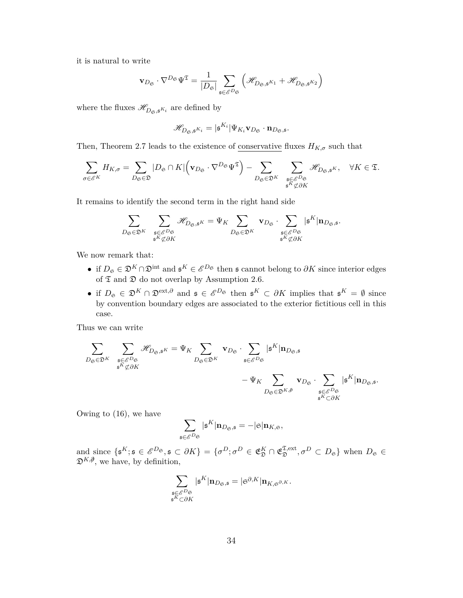it is natural to write

$$
\mathbf{v}_{D_{\mathfrak{S}}}\cdot\nabla^{D_{\mathfrak{S}}}\Psi^{\mathfrak{T}}=\frac{1}{|D_{\mathfrak{S}}|}\sum_{\mathfrak{s}\in\mathscr{E}^{D_{\mathfrak{S}}}}\left(\mathscr{H}_{D_{\mathfrak{S}},\mathfrak{s}^{K_{1}}}+\mathscr{H}_{D_{\mathfrak{S}},\mathfrak{s}^{K_{2}}}\right)
$$

where the fluxes  $\mathscr{H}_{D_{\mathfrak{S}},\mathfrak{s}^{K_{i}}}$  are defined by

$$
\mathscr{H}_{D_{\mathfrak{S}},\mathfrak{s}^{K_{i}}} = |\mathfrak{s}^{K_{i}}| \Psi_{K_{i}} \mathbf{v}_{D_{\mathfrak{S}}}\cdot \mathbf{n}_{D_{\mathfrak{S}},\mathfrak{s}}.
$$

Then, Theorem 2.7 leads to the existence of conservative fluxes  $H_{K,\sigma}$  such that

$$
\sum_{\sigma\in\mathscr{E}^K}H_{K,\sigma}=\sum_{D_\mathfrak{S}\in\mathfrak{D}}|D_\mathfrak{S}\cap K|\Big(\mathbf{v}_{D_\mathfrak{S}}\cdot\nabla^{D_\mathfrak{S}}\Psi^\mathfrak{T}\Big)-\sum_{D_\mathfrak{S}\in\mathfrak{D}^K}\sum_{\mathfrak{s}\in\mathscr{E}^{D_\mathfrak{S}}\atop \mathfrak{s}^K\not\subset\partial K}\mathscr{H}_{D_\mathfrak{S},\mathfrak{s}^K},\quad\forall K\in\mathfrak{T}.
$$

It remains to identify the second term in the right hand side

$$
\sum_{D_{\mathfrak{S}} \in \mathfrak{D}^K} \quad \sum_{\mathfrak{s} \in \mathscr{E}^{D_{\mathfrak{S}}}} \mathscr{H}_{D_{\mathfrak{S}}, \mathfrak{s}^K} = \Psi_K \sum_{D_{\mathfrak{S}} \in \mathfrak{D}^K} \ \mathbf{v}_{D_{\mathfrak{S}}} \cdot \sum_{\substack{\mathfrak{s} \in \mathscr{E}^{D_{\mathfrak{S}}}}\\\mathfrak{s}^K \nmid \mathbf{n}_{D_{\mathfrak{S}}, \mathfrak{s}}}.
$$

We now remark that:

- if  $D_{\mathfrak{S}} \in \mathfrak{D}^K \cap \mathfrak{D}^{\text{int}}$  and  $\mathfrak{s}^K \in \mathscr{E}^{D_{\mathfrak{S}}}$  then  $\mathfrak{s}$  cannot belong to  $\partial K$  since interior edges of  $\mathfrak T$  and  $\mathfrak D$  do not overlap by Assumption 2.6.
- if  $D_{\mathfrak{S}} \in \mathfrak{D}^K \cap \mathfrak{D}^{\text{ext},\partial}$  and  $\mathfrak{s} \in \mathscr{E}^{D_{\mathfrak{S}}}$  then  $\mathfrak{s}^K \subset \partial K$  implies that  $\mathfrak{s}^K = \emptyset$  since by convention boundary edges are associated to the exterior fictitious cell in this case.

Thus we can write

$$
\begin{aligned} \sum_{D_{\mathfrak{S}} \in \mathfrak{D}^K} \quad & \sum_{\mathfrak{s} \in \mathscr{E}^D \mathfrak{S} \atop \mathfrak{s}^K \not\subset \partial K} \mathscr{H}_{D_{\mathfrak{S}}, \mathfrak{s}^K} = \Psi_K \sum_{D_{\mathfrak{S}} \in \mathfrak{D}^K} \ \mathbf{v}_{D_{\mathfrak{S}}} \cdot \sum_{\mathfrak{s} \in \mathscr{E}^D \mathfrak{S}} |\mathfrak{s}^K |\mathbf{n}_{D_{\mathfrak{S}}, \mathfrak{s}} \\ & - \Psi_K \sum_{D_{\mathfrak{S}} \in \mathfrak{D}^{K}, \mathfrak{F}} \ \mathbf{v}_{D_{\mathfrak{S}}} \cdot \sum_{\mathfrak{s} \in \mathscr{E}^D \mathfrak{S} \atop \mathfrak{s}^K \subset \partial K} |\mathfrak{s}^K |\mathbf{n}_{D_{\mathfrak{S}}, \mathfrak{s}}. \end{aligned}
$$

Owing to (16), we have

$$
\sum_{\mathfrak{s}\in \mathscr{E}^D\mathfrak{S}}|\mathfrak{s}^K|\mathbf{n}_{D_{\mathfrak{S}},\mathfrak{s}}=-|\mathfrak{S}|\mathbf{n}_{K,\mathfrak{S}},
$$

and since  $\{\mathfrak{s}^K; \mathfrak{s} \in \mathcal{E}^{D_{\mathfrak{S}}}, \mathfrak{s} \subset \partial K\} = \{\sigma^D; \sigma^D \in \mathfrak{E}_{\mathfrak{D}}^K \cap \mathfrak{E}_{\mathfrak{D}}^{\mathfrak{T}, \text{ext}}\}$  $\mathcal{L}^{\text{Ext}}_{\mathfrak{D}}, \sigma^D \subset D_{\mathfrak{S}}$  when  $D_{\mathfrak{S}} \in$ D*K,∂/*, we have, by definition,

$$
\sum_{\substack{\mathfrak{s}\in \mathscr{E}^{D_{\mathfrak{S}}}\\ \mathfrak{s}^K\subset \partial K}} |\mathfrak{s}^K|\mathbf{n}_{D_{\mathfrak{S}},\mathfrak{s}}=|\mathfrak{s}^{\partial,K}|\mathbf{n}_{K,\mathfrak{s}^{\partial,K}}.
$$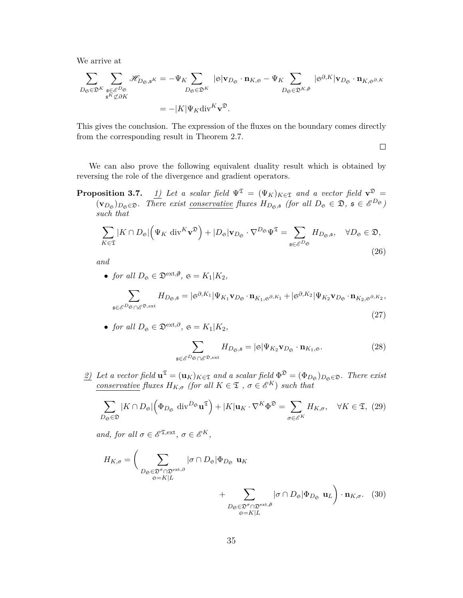We arrive at

$$
\sum_{D_{\mathfrak{S}} \in \mathfrak{D}^K} \sum_{\substack{\mathfrak{s} \in \mathcal{E}^{D_{\mathfrak{S}}} \\ \mathfrak{s}^K \nsubseteq \partial K}} \mathscr{H}_{D_{\mathfrak{S}}, \mathfrak{s}^K} = -\Psi_K \sum_{D_{\mathfrak{S}} \in \mathfrak{D}^K} |\mathfrak{s}| \mathbf{v}_{D_{\mathfrak{S}}} \cdot \mathbf{n}_{K, \mathfrak{s}} - \Psi_K \sum_{D_{\mathfrak{S}} \in \mathfrak{D}^{K, \beta}} |\mathfrak{s}^{\partial, K}| \mathbf{v}_{D_{\mathfrak{S}}} \cdot \mathbf{n}_{K, \mathfrak{s}^{\partial, K}}
$$

$$
= -|K| \Psi_K \text{div}^K \mathbf{v}^{\mathfrak{D}}.
$$

This gives the conclusion. The expression of the fluxes on the boundary comes directly from the corresponding result in Theorem 2.7.

 $\Box$ 

We can also prove the following equivalent duality result which is obtained by reversing the role of the divergence and gradient operators.

**Proposition 3.7.** *1) Let a scalar field*  $\Psi^{\mathfrak{T}} = (\Psi_K)_{K \in \mathfrak{T}}$  *and a vector field*  $\mathbf{v}^{\mathfrak{D}} =$  $(\mathbf{v}_{D_{\mathfrak{S}}})_{D_{\mathfrak{S}} \in \mathfrak{D}}$ *. There exist <u>conservative</u> fluxes*  $H_{D_{\mathfrak{S}},\mathfrak{s}}$  (for all  $D_{\mathfrak{S}} \in \mathfrak{D}$ ,  $\mathfrak{s} \in \mathcal{E}^{D_{\mathfrak{S}}}$ ) *such that*

$$
\sum_{K \in \mathfrak{T}} |K \cap D_{\mathfrak{S}}| \Big( \Psi_K \operatorname{div}^{K} \mathbf{v}^{\mathfrak{D}} \Big) + |D_{\mathfrak{S}}| \mathbf{v}_{D_{\mathfrak{S}}} \cdot \nabla^{D_{\mathfrak{S}}} \Psi^{\mathfrak{T}} = \sum_{\mathfrak{s} \in \mathcal{E}^{D_{\mathfrak{S}}}} H_{D_{\mathfrak{S}}, \mathfrak{s}}, \quad \forall D_{\mathfrak{S}} \in \mathfrak{D},
$$
\n(26)

*and*

• *for all*  $D_{\mathfrak{S}} \in \mathfrak{D}^{\text{ext},\emptyset}$ ,  $\mathfrak{S} = K_1 | K_2$ ,

$$
\sum_{\mathbf{s}\in\mathscr{E}^D\mathbf{\mathfrak{S}}\cap\mathscr{E}^{\mathfrak{D},\mathrm{ext}}}H_{D_{\mathfrak{S}},\mathbf{s}}=|\mathbf{s}^{\partial,K_1}|\Psi_{K_1}\mathbf{v}_{D_{\mathfrak{S}}}\cdot\mathbf{n}_{K_1,\mathbf{s}^{\partial,K_1}}+|\mathbf{s}^{\partial,K_2}|\Psi_{K_2}\mathbf{v}_{D_{\mathfrak{S}}}\cdot\mathbf{n}_{K_2,\mathbf{s}^{\partial,K_2}},\tag{27}
$$

• for all 
$$
D_{\mathfrak{S}} \in \mathfrak{D}^{\text{ext},\partial}
$$
,  $\mathfrak{S} = K_1 | K_2$ ,

$$
\sum_{\mathfrak{s}\in\mathcal{E}^{D_{\mathfrak{S}}}\cap\mathcal{E}^{\mathfrak{D},\mathrm{ext}}}H_{D_{\mathfrak{S}},\mathfrak{s}}=|\mathfrak{S}|\Psi_{K_{2}}\mathbf{v}_{D_{\mathfrak{S}}}\cdot\mathbf{n}_{K_{1},\mathfrak{S}}.\tag{28}
$$

*2) Let a vector field*  $\mathbf{u}^{\mathfrak{T}} = (\mathbf{u}_K)_{K \in \mathfrak{T}}$  *and a scalar field*  $\Phi^{\mathfrak{D}} = (\Phi_{D_{\mathfrak{S}}})_{D_{\mathfrak{S}} \in \mathfrak{D}}$ *. There exist conservative fluxes*  $H_{K,\sigma}$  *(for all*  $K \in \mathfrak{T}$  *,*  $\sigma \in \mathcal{E}^K$ ) *such that* 

$$
\sum_{D_{\mathfrak{S}} \in \mathfrak{D}} |K \cap D_{\mathfrak{S}}| \left( \Phi_{D_{\mathfrak{S}}} \operatorname{div}^{D_{\mathfrak{S}}} \mathbf{u}^{\mathfrak{T}} \right) + |K| \mathbf{u}_{K} \cdot \nabla^{K} \Phi^{\mathfrak{D}} = \sum_{\sigma \in \mathcal{E}^{K}} H_{K, \sigma}, \quad \forall K \in \mathfrak{T}, \ (29)
$$

*and, for all*  $\sigma \in \mathscr{E}^{\mathfrak{T},\mathrm{ext}}, \sigma \in \mathscr{E}^K$ ,

$$
H_{K,\sigma} = \left(\sum_{\substack{D_{\mathfrak{S}} \in \mathfrak{D}^{\sigma} \cap \mathfrak{D}^{\text{ext},\partial} \\ \mathfrak{S} = K|L}} |\sigma \cap D_{\mathfrak{S}}| \Phi_{D_{\mathfrak{S}}} \mathbf{u}_K + \sum_{\substack{D_{\mathfrak{S}} \in \mathfrak{D}^{\sigma} \cap \mathfrak{D}^{\text{ext},\partial} \\ \mathfrak{S} = K|L}} |\sigma \cap D_{\mathfrak{S}}| \Phi_{D_{\mathfrak{S}}} \mathbf{u}_L \right) \cdot \mathbf{n}_{K,\sigma}. \quad (30)
$$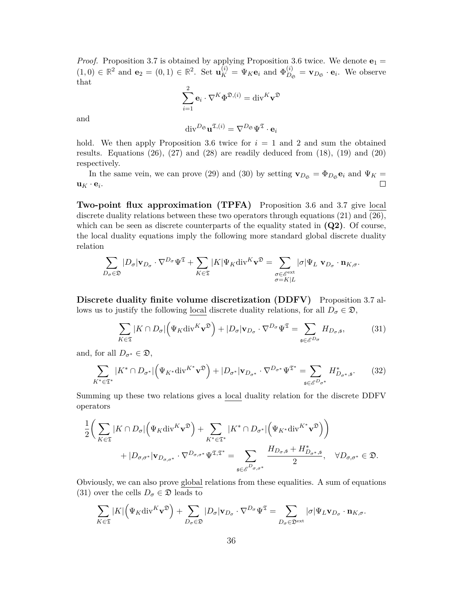*Proof.* Proposition 3.7 is obtained by applying Proposition 3.6 twice. We denote  $\mathbf{e}_1 =$  $(1,0) \in \mathbb{R}^2$  and  $\mathbf{e}_2 = (0,1) \in \mathbb{R}^2$ . Set  $\mathbf{u}_K^{(i)} = \Psi_K \mathbf{e}_i$  and  $\Phi_{D_0}^{(i)}$  $\sum_{D_{\mathfrak{S}}}^{(i)} = \mathbf{v}_{D_{\mathfrak{S}}} \cdot \mathbf{e}_i$ . We observe that

$$
\sum_{i=1}^{2} \mathbf{e}_{i} \cdot \nabla^{K} \Phi^{\mathfrak{D},(i)} = \text{div}^{K} \mathbf{v}^{\mathfrak{D}}
$$

and

$$
\mathrm{div}^{D_{\mathfrak{S}}} \mathbf{u}^{\mathfrak{T},(i)} = \nabla^{D_{\mathfrak{S}}} \Psi^{\mathfrak{T}} \cdot \mathbf{e}_i
$$

hold. We then apply Proposition 3.6 twice for  $i = 1$  and 2 and sum the obtained results. Equations  $(26)$ ,  $(27)$  and  $(28)$  are readily deduced from  $(18)$ ,  $(19)$  and  $(20)$ respectively.

In the same vein, we can prove (29) and (30) by setting  $\mathbf{v}_{D_{\mathfrak{S}}} = \Phi_{D_{\mathfrak{S}}} \mathbf{e}_i$  and  $\Psi_K =$  $\mathbf{u}_K \cdot \mathbf{e}_i$ .  $\Box$ 

**Two-point flux approximation (TPFA)** Proposition 3.6 and 3.7 give local discrete duality relations between these two operators through equations  $(21)$  and  $(26)$ , which can be seen as discrete counterparts of the equality stated in **(Q2)**. Of course, the local duality equations imply the following more standard global discrete duality relation

$$
\sum_{D_{\sigma}\in\mathfrak{D}}|D_{\sigma}|\mathbf{v}_{D_{\sigma}}\cdot\nabla^{D_{\sigma}}\Psi^{\mathfrak{T}}+\sum_{K\in\mathfrak{T}}|K|\Psi_K\mathrm{div}^K\mathbf{v}^{\mathfrak{D}}=\sum_{\substack{\sigma\in\mathscr{E}^{\mathrm{ext}}\\ \sigma=K|L}}|\sigma|\Psi_L|\mathbf{v}_{D_{\sigma}}\cdot\mathbf{n}_{K,\sigma}.
$$

**Discrete duality finite volume discretization (DDFV)** Proposition 3.7 allows us to justify the following local discrete duality relations, for all  $D_{\sigma} \in \mathfrak{D}$ ,

$$
\sum_{K \in \mathfrak{T}} |K \cap D_{\sigma}| \Big( \Psi_K \text{div}^K \mathbf{v}^{\mathfrak{D}} \Big) + |D_{\sigma}| \mathbf{v}_{D_{\sigma}} \cdot \nabla^{D_{\sigma}} \Psi^{\mathfrak{T}} = \sum_{\mathfrak{s} \in \mathscr{E}^{D_{\sigma}}} H_{D_{\sigma}, \mathfrak{s}},\tag{31}
$$

and, for all  $D_{\sigma^*} \in \mathfrak{D}$ ,

$$
\sum_{K^*\in\mathfrak{T}^*} |K^*\cap D_{\sigma^*}| \Big(\Psi_{K^*} \text{div}^{K^*} \mathbf{v}^{\mathfrak{D}} \Big) + |D_{\sigma^*}| \mathbf{v}_{D_{\sigma^*}} \cdot \nabla^{D_{\sigma^*}} \Psi^{\mathfrak{T}^*} = \sum_{\mathfrak{s}\in\mathscr{E}^{D_{\sigma^*}}} H^*_{D_{\sigma^*},\mathfrak{s}}.
$$
 (32)

Summing up these two relations gives a local duality relation for the discrete DDFV operators

$$
\frac{1}{2}\bigg(\sum_{K\in\mathfrak{T}}|K\cap D_{\sigma}|\Big(\Psi_K\mathrm{div}^K\mathbf{v}^{\mathfrak{D}}\Big)+\sum_{K^*\in\mathfrak{T}^*}|K^*\cap D_{\sigma^*}|\Big(\Psi_{K^*}\mathrm{div}^{K^*}\mathbf{v}^{\mathfrak{D}}\Big)\bigg) \n+|D_{\sigma,\sigma^*}|\mathbf{v}_{D_{\sigma,\sigma^*}}\cdot\nabla^{D_{\sigma,\sigma^*}}\Psi^{\mathfrak{T},\mathfrak{T}^*}=\sum_{\mathfrak{s}\in\mathscr{E}^{D_{\sigma,\sigma^*}}} \frac{H_{D_{\sigma,\mathfrak{s}}}+H^*_{D_{\sigma^*,\mathfrak{s}}}}{2}, \quad \forall D_{\sigma,\sigma^*}\in\mathfrak{D}.
$$

Obviously, we can also prove global relations from these equalities. A sum of equations (31) over the cells  $D_{\sigma} \in \mathfrak{D}$  leads to

$$
\sum_{K\in\mathfrak{T}}|K|\Big(\Psi_K\mathrm{div}^K\mathbf{v}^{\mathfrak{D}}\Big)+\sum_{D_{\sigma}\in\mathfrak{D}}|D_{\sigma}|\mathbf{v}_{D_{\sigma}}\cdot\nabla^{D_{\sigma}}\Psi^{\mathfrak{T}}=\sum_{D_{\sigma}\in\mathfrak{D}^{\mathrm{ext}}}|{\sigma}|\Psi_L\mathbf{v}_{D_{\sigma}}\cdot\mathbf{n}_{K,\sigma}.
$$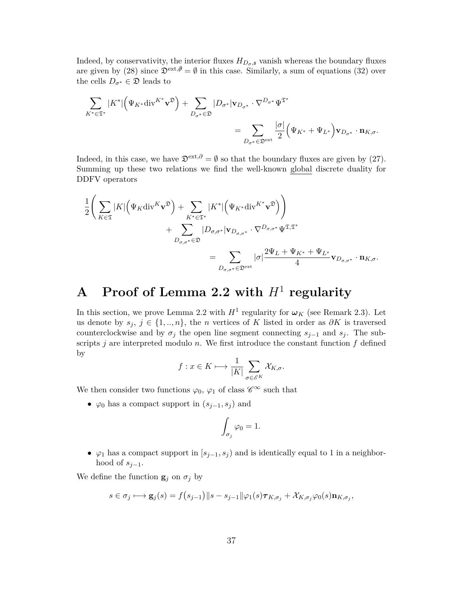Indeed, by conservativity, the interior fluxes  $H_{D_{\sigma},\mathfrak{s}}$  vanish whereas the boundary fluxes are given by (28) since  $\mathfrak{D}^{\text{ext},\emptyset}=\emptyset$  in this case. Similarly, a sum of equations (32) over the cells  $D_{\sigma^*} \in \mathfrak{D}$  leads to

$$
\sum_{K^*\in\mathfrak{T}^*} |K^*| \Big(\Psi_{K^*} \text{div}^{K^*} \mathbf{v}^{\mathfrak{D}} \Big) + \sum_{D_{\sigma^*}\in\mathfrak{D}} |D_{\sigma^*}| \mathbf{v}_{D_{\sigma^*}} \cdot \nabla^{D_{\sigma^*}} \Psi^{\mathfrak{T}^*} \n= \sum_{D_{\sigma^*}\in\mathfrak{D}^{\text{ext}}} \frac{|\sigma|}{2} \Big(\Psi_{K^*} + \Psi_{L^*}\Big) \mathbf{v}_{D_{\sigma^*}} \cdot \mathbf{n}_{K,\sigma}.
$$

Indeed, in this case, we have  $\mathfrak{D}^{\text{ext},\partial} = \emptyset$  so that the boundary fluxes are given by (27). Summing up these two relations we find the well-known global discrete duality for DDFV operators

$$
\frac{1}{2}\left(\sum_{K\in\mathfrak{T}}|K|\left(\Psi_K\mathrm{div}^K\mathbf{v}^{\mathfrak{D}}\right)+\sum_{K^*\in\mathfrak{T}^*}|K^*|\left(\Psi_{K^*}\mathrm{div}^{K^*}\mathbf{v}^{\mathfrak{D}}\right)\right) \n+\sum_{D_{\sigma,\sigma^*}\in\mathfrak{D}}|D_{\sigma,\sigma^*}|\mathbf{v}_{D_{\sigma,\sigma^*}}\cdot\nabla^{D_{\sigma,\sigma^*}}\Psi^{\mathfrak{T},\mathfrak{T}^*} \n=\sum_{D_{\sigma,\sigma^*}\in\mathfrak{D}^{\text{ext}}}|\sigma|\frac{2\Psi_L+\Psi_{K^*}+\Psi_{L^*}}{4}\mathbf{v}_{D_{\sigma,\sigma^*}}\cdot\mathbf{n}_{K,\sigma}.
$$

# **A Proof of Lemma 2.2 with** *H*<sup>1</sup> **regularity**

In this section, we prove Lemma 2.2 with  $H^1$  regularity for  $\omega_K$  (see Remark 2.3). Let us denote by  $s_j$ ,  $j \in \{1, ..., n\}$ , the *n* vertices of *K* listed in order as  $\partial K$  is traversed counterclockwise and by  $\sigma_j$  the open line segment connecting  $s_{j-1}$  and  $s_j$ . The subscripts *j* are interpreted modulo *n*. We first introduce the constant function *f* defined by

$$
f: x \in K \longmapsto \frac{1}{|K|} \sum_{\sigma \in \mathscr{E}^K} \mathcal{X}_{K,\sigma}.
$$

We then consider two functions  $\varphi_0$ ,  $\varphi_1$  of class  $\mathscr{C}^{\infty}$  such that

•  $\varphi_0$  has a compact support in  $(s_{j-1}, s_j)$  and

$$
\int_{\sigma_j}\varphi_0=1.
$$

•  $\varphi_1$  has a compact support in  $[s_{j-1}, s_j]$  and is identically equal to 1 in a neighborhood of  $s_{i-1}$ .

We define the function  $\mathbf{g}_i$  on  $\sigma_j$  by

$$
s \in \sigma_j \longmapsto \mathbf{g}_j(s) = f(s_{j-1}) \| s - s_{j-1} \| \varphi_1(s) \boldsymbol{\tau}_{K, \sigma_j} + \mathcal{X}_{K, \sigma_j} \varphi_0(s) \mathbf{n}_{K, \sigma_j},
$$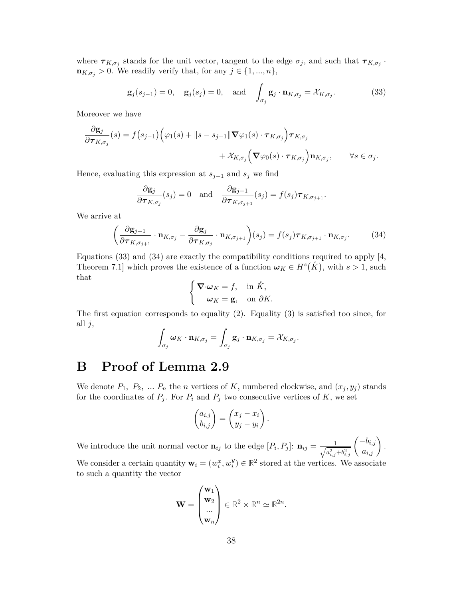where  $\tau_{K,\sigma_j}$  stands for the unit vector, tangent to the edge  $\sigma_j$ , and such that  $\tau_{K,\sigma_j}$ .  $\mathbf{n}_{K,\sigma_j} > 0$ . We readily verify that, for any  $j \in \{1, ..., n\}$ ,

$$
\mathbf{g}_j(s_{j-1}) = 0, \quad \mathbf{g}_j(s_j) = 0, \quad \text{and} \quad \int_{\sigma_j} \mathbf{g}_j \cdot \mathbf{n}_{K, \sigma_j} = \mathcal{X}_{K, \sigma_j}.
$$
 (33)

Moreover we have

$$
\frac{\partial \mathbf{g}_j}{\partial \boldsymbol{\tau}_{K,\sigma_j}}(s) = f(s_{j-1}) \Big( \varphi_1(s) + \|s - s_{j-1}\| \boldsymbol{\nabla} \varphi_1(s) \cdot \boldsymbol{\tau}_{K,\sigma_j} \Big) \boldsymbol{\tau}_{K,\sigma_j} \n+ \mathcal{X}_{K,\sigma_j} \Big( \boldsymbol{\nabla} \varphi_0(s) \cdot \boldsymbol{\tau}_{K,\sigma_j} \Big) \mathbf{n}_{K,\sigma_j}, \qquad \forall s \in \sigma_j.
$$

Hence, evaluating this expression at  $s_{j-1}$  and  $s_j$  we find

$$
\frac{\partial \mathbf{g}_j}{\partial \boldsymbol{\tau}_{K,\sigma_j}}(s_j) = 0 \text{ and } \frac{\partial \mathbf{g}_{j+1}}{\partial \boldsymbol{\tau}_{K,\sigma_{j+1}}}(s_j) = f(s_j)\boldsymbol{\tau}_{K,\sigma_{j+1}}.
$$

We arrive at

$$
\left(\frac{\partial \mathbf{g}_{j+1}}{\partial \boldsymbol{\tau}_{K,\sigma_{j+1}}} \cdot \mathbf{n}_{K,\sigma_{j}} - \frac{\partial \mathbf{g}_{j}}{\partial \boldsymbol{\tau}_{K,\sigma_{j}}} \cdot \mathbf{n}_{K,\sigma_{j+1}}\right)(s_{j}) = f(s_{j}) \boldsymbol{\tau}_{K,\sigma_{j+1}} \cdot \mathbf{n}_{K,\sigma_{j}}.
$$
(34)

Equations  $(33)$  and  $(34)$  are exactly the compatibility conditions required to apply [4, Theorem 7.1] which proves the existence of a function  $\omega_K \in H^s(\mathring{K})$ , with  $s > 1$ , such that

$$
\begin{cases} \nabla \cdot \boldsymbol{\omega}_K = f, & \text{in } \mathring{K}, \\ \boldsymbol{\omega}_K = \mathbf{g}, & \text{on } \partial K. \end{cases}
$$

The first equation corresponds to equality (2). Equality (3) is satisfied too since, for all *j*,

$$
\int_{\sigma_j} \boldsymbol{\omega}_K \cdot \mathbf{n}_{K,\sigma_j} = \int_{\sigma_j} \mathbf{g}_j \cdot \mathbf{n}_{K,\sigma_j} = \mathcal{X}_{K,\sigma_j}.
$$

### **B Proof of Lemma 2.9**

We denote  $P_1$ ,  $P_2$ , ...  $P_n$  the *n* vertices of *K*, numbered clockwise, and  $(x_j, y_j)$  stands for the coordinates of  $P_j$ . For  $P_i$  and  $P_j$  two consecutive vertices of  $K$ , we set

$$
\begin{pmatrix} a_{i,j} \\ b_{i,j} \end{pmatrix} = \begin{pmatrix} x_j - x_i \\ y_j - y_i \end{pmatrix}.
$$

We introduce the unit normal vector  $\mathbf{n}_{ij}$  to the edge  $[P_i, P_j]$ :  $\mathbf{n}_{ij} = \frac{1}{\sqrt{a^2}}$  $\frac{1}{a_{i,j}^2+b_{i,j}^2}\left(\frac{-b_{i,j}}{a_{i,j}}\right).$ 

We consider a certain quantity  $\mathbf{w}_i = (w_i^x, w_i^y)$  $\mathbf{y}_i^y$   $\in \mathbb{R}^2$  stored at the vertices. We associate to such a quantity the vector

$$
\mathbf{W} = \begin{pmatrix} \mathbf{w}_1 \\ \mathbf{w}_2 \\ \dots \\ \mathbf{w}_n \end{pmatrix} \in \mathbb{R}^2 \times \mathbb{R}^n \simeq \mathbb{R}^{2n}.
$$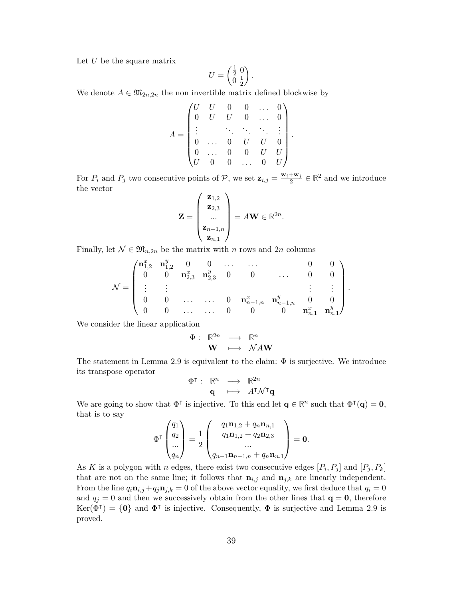Let *U* be the square matrix

$$
U = \begin{pmatrix} \frac{1}{2} & 0 \\ 0 & \frac{1}{2} \end{pmatrix}.
$$

We denote  $A \in \mathfrak{M}_{2n,2n}$  the non invertible matrix defined blockwise by

$$
A = \begin{pmatrix} U & U & 0 & 0 & \dots & 0 \\ 0 & U & U & 0 & \dots & 0 \\ \vdots & & \ddots & \ddots & \ddots & \vdots \\ 0 & \dots & 0 & U & U & 0 \\ 0 & \dots & 0 & 0 & U & U \\ U & 0 & 0 & \dots & 0 & U \end{pmatrix}.
$$

For  $P_i$  and  $P_j$  two consecutive points of  $P$ , we set  $\mathbf{z}_{i,j} = \frac{\mathbf{w}_i + \mathbf{w}_j}{2}$  $\frac{1+\mathbf{w}_j}{2} \in \mathbb{R}^2$  and we introduce the vector

$$
\mathbf{Z} = \begin{pmatrix} \mathbf{z}_{1,2} \\ \mathbf{z}_{2,3} \\ \dots \\ \mathbf{z}_{n-1,n} \\ \mathbf{z}_{n,1} \end{pmatrix} = A\mathbf{W} \in \mathbb{R}^{2n}.
$$

Finally, let  $\mathcal{N} \in \mathfrak{M}_{n,2n}$  be the matrix with *n* rows and 2*n* columns

$$
\mathcal{N} = \begin{pmatrix} \mathbf{n}_{1,2}^x & \mathbf{n}_{1,2}^y & 0 & 0 & \dots & \dots & 0 & 0 \\ 0 & 0 & \mathbf{n}_{2,3}^x & \mathbf{n}_{2,3}^y & 0 & 0 & \dots & 0 & 0 \\ \vdots & \vdots & & & & & \vdots & \vdots \\ 0 & 0 & \dots & \dots & 0 & \mathbf{n}_{n-1,n}^x & \mathbf{n}_{n-1,n}^y & 0 & 0 \\ 0 & 0 & \dots & \dots & 0 & 0 & 0 & \mathbf{n}_{n,1}^x & \mathbf{n}_{n,1}^y \end{pmatrix}.
$$

We consider the linear application

$$
\begin{array}{cccc}\Phi : & \mathbb{R}^{2n} & \longrightarrow & \mathbb{R}^{n} \\ & \mathbf{W} & \longmapsto & \mathcal{N}A\mathbf{W}\end{array}
$$

The statement in Lemma 2.9 is equivalent to the claim:  $\Phi$  is surjective. We introduce its transpose operator

$$
\begin{array}{cccc}\n\Phi^\intercal : & \mathbb{R}^n & \longrightarrow & \mathbb{R}^{2n} \\
\mathbf{q} & \longmapsto & A^\intercal \mathcal{N}^\intercal \mathbf{q}\n\end{array}
$$

We are going to show that  $\Phi^{\dagger}$  is injective. To this end let  $\mathbf{q} \in \mathbb{R}^n$  such that  $\Phi^{\dagger}(\mathbf{q}) = \mathbf{0}$ , that is to say

$$
\Phi^{\mathsf{T}}\begin{pmatrix} q_1 \\ q_2 \\ \dots \\ q_n \end{pmatrix} = \frac{1}{2} \begin{pmatrix} q_1 \mathbf{n}_{1,2} + q_n \mathbf{n}_{n,1} \\ q_1 \mathbf{n}_{1,2} + q_2 \mathbf{n}_{2,3} \\ \dots \\ q_{n-1} \mathbf{n}_{n-1,n} + q_n \mathbf{n}_{n,1} \end{pmatrix} = \mathbf{0}.
$$

As *K* is a polygon with *n* edges, there exist two consecutive edges  $[P_i, P_j]$  and  $[P_j, P_k]$ that are not on the same line; it follows that  $\mathbf{n}_{i,j}$  and  $\mathbf{n}_{j,k}$  are linearly independent. From the line  $q_i \mathbf{n}_{i,j} + q_j \mathbf{n}_{j,k} = 0$  of the above vector equality, we first deduce that  $q_i = 0$ and  $q_j = 0$  and then we successively obtain from the other lines that  $q = 0$ , therefore  $\text{Ker}(\vec{\Phi}^{\intercal}) = \{0\}$  and  $\Phi^{\intercal}$  is injective. Consequently,  $\Phi$  is surjective and Lemma 2.9 is proved.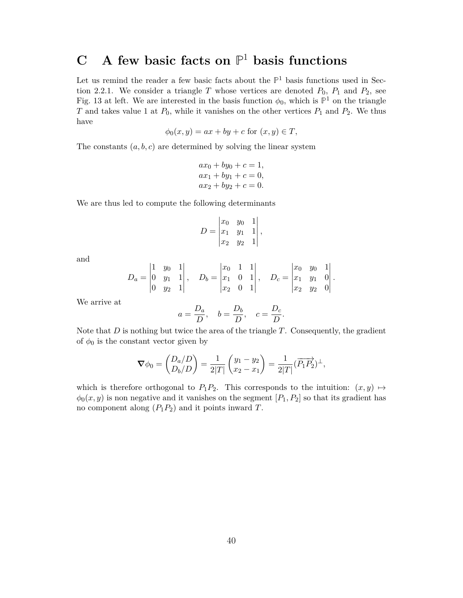# **C A few basic facts on P** <sup>1</sup> **basis functions**

Let us remind the reader a few basic facts about the  $\mathbb{P}^1$  basis functions used in Section 2.2.1. We consider a triangle  $T$  whose vertices are denoted  $P_0$ ,  $P_1$  and  $P_2$ , see Fig. 13 at left. We are interested in the basis function  $\phi_0$ , which is  $\mathbb{P}^1$  on the triangle *T* and takes value 1 at *P*0, while it vanishes on the other vertices *P*<sup>1</sup> and *P*2. We thus have

$$
\phi_0(x, y) = ax + by + c \text{ for } (x, y) \in T,
$$

The constants  $(a, b, c)$  are determined by solving the linear system

$$
ax_0 + by_0 + c = 1,ax_1 + by_1 + c = 0,ax_2 + by_2 + c = 0.
$$

We are thus led to compute the following determinants

$$
D = \begin{vmatrix} x_0 & y_0 & 1 \\ x_1 & y_1 & 1 \\ x_2 & y_2 & 1 \end{vmatrix},
$$

and

$$
D_a = \begin{vmatrix} 1 & y_0 & 1 \\ 0 & y_1 & 1 \\ 0 & y_2 & 1 \end{vmatrix}, \quad D_b = \begin{vmatrix} x_0 & 1 & 1 \\ x_1 & 0 & 1 \\ x_2 & 0 & 1 \end{vmatrix}, \quad D_c = \begin{vmatrix} x_0 & y_0 & 1 \\ x_1 & y_1 & 0 \\ x_2 & y_2 & 0 \end{vmatrix}.
$$

We arrive at

$$
a = \frac{D_a}{D}
$$
,  $b = \frac{D_b}{D}$ ,  $c = \frac{D_c}{D}$ .

Note that *D* is nothing but twice the area of the triangle *T*. Consequently, the gradient of  $\phi_0$  is the constant vector given by

$$
\nabla \phi_0 = \begin{pmatrix} D_a/D \\ D_b/D \end{pmatrix} = \frac{1}{2|T|} \begin{pmatrix} y_1 - y_2 \\ x_2 - x_1 \end{pmatrix} = \frac{1}{2|T|} (\overrightarrow{P_1P_2})^{\perp},
$$

which is therefore orthogonal to  $P_1P_2$ . This corresponds to the intuition:  $(x, y) \mapsto$  $\phi_0(x, y)$  is non negative and it vanishes on the segment  $[P_1, P_2]$  so that its gradient has no component along  $(P_1P_2)$  and it points inward *T*.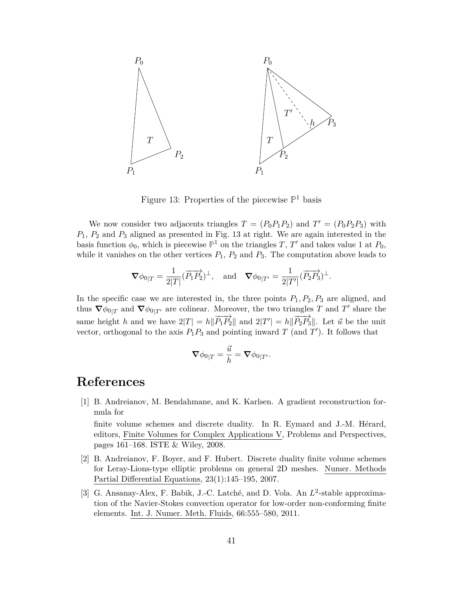

Figure 13: Properties of the piecewise **P** <sup>1</sup> basis

We now consider two adjacents triangles  $T = (P_0 P_1 P_2)$  and  $T' = (P_0 P_2 P_3)$  with *P*1, *P*<sup>2</sup> and *P*<sup>3</sup> aligned as presented in Fig. 13 at right. We are again interested in the basis function  $\phi_0$ , which is piecewise  $\mathbb{P}^1$  on the triangles *T*, *T'* and takes value 1 at  $P_0$ , while it vanishes on the other vertices  $P_1$ ,  $P_2$  and  $P_3$ . The computation above leads to

$$
\nabla \phi_{0|T} = \frac{1}{2|T|} (\overrightarrow{P_1P_2})^{\perp}, \text{ and } \nabla \phi_{0|T'} = \frac{1}{2|T'|} (\overrightarrow{P_2P_3})^{\perp}.
$$

In the specific case we are interested in, the three points  $P_1, P_2, P_3$  are aligned, and thus  $\nabla \phi_{0|T}$  and  $\nabla \phi_{0|T'}$  are colinear. Moreover, the two triangles *T* and *T'* share the same height *h* and we have  $2|T| = h\|\overrightarrow{P_1P_2}\|$  and  $2|T'| = h\|\overrightarrow{P_2P_3}\|$ . Let  $\vec{u}$  be the unit vector, orthogonal to the axis  $P_1P_3$  and pointing inward  $T$  (and  $T'$ ). It follows that

$$
\boldsymbol{\nabla}\phi_{0|T}=\frac{\vec{u}}{h}=\boldsymbol{\nabla}\phi_{0|T'}.
$$

# **References**

[1] B. Andreianov, M. Bendahmane, and K. Karlsen. A gradient reconstruction formula for

finite volume schemes and discrete duality. In R. Eymard and J.-M. Hérard, editors, Finite Volumes for Complex Applications V, Problems and Perspectives, pages 161–168. ISTE & Wiley, 2008.

- [2] B. Andreianov, F. Boyer, and F. Hubert. Discrete duality finite volume schemes for Leray-Lions-type elliptic problems on general 2D meshes. Numer. Methods Partial Differential Equations, 23(1):145–195, 2007.
- [3] G. Ansanay-Alex, F. Babik, J.-C. Latché, and D. Vola. An  $L^2$ -stable approximation of the Navier-Stokes convection operator for low-order non-conforming finite elements. Int. J. Numer. Meth. Fluids, 66:555–580, 2011.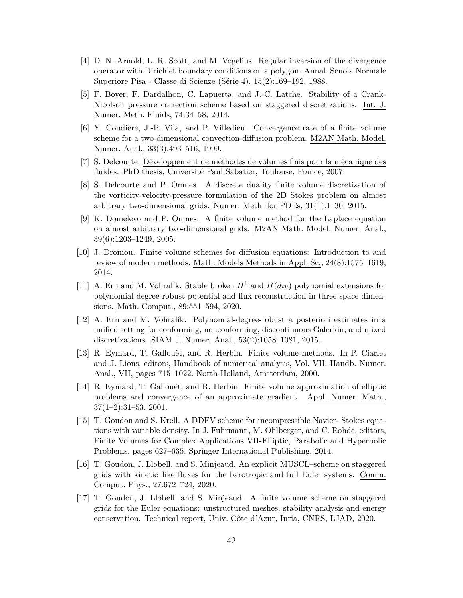- [4] D. N. Arnold, L. R. Scott, and M. Vogelius. Regular inversion of the divergence operator with Dirichlet boundary conditions on a polygon. Annal. Scuola Normale Superiore Pisa - Classe di Scienze (Série 4), 15(2):169–192, 1988.
- [5] F. Boyer, F. Dardalhon, C. Lapuerta, and J.-C. Latché. Stability of a Crank-Nicolson pressure correction scheme based on staggered discretizations. Int. J. Numer. Meth. Fluids, 74:34–58, 2014.
- [6] Y. Coudière, J.-P. Vila, and P. Villedieu. Convergence rate of a finite volume scheme for a two-dimensional convection-diffusion problem. M2AN Math. Model. Numer. Anal., 33(3):493–516, 1999.
- [7] S. Delcourte. Développement de méthodes de volumes finis pour la mécanique des fluides. PhD thesis, Université Paul Sabatier, Toulouse, France, 2007.
- [8] S. Delcourte and P. Omnes. A discrete duality finite volume discretization of the vorticity-velocity-pressure formulation of the 2D Stokes problem on almost arbitrary two-dimensional grids. Numer. Meth. for PDEs, 31(1):1–30, 2015.
- [9] K. Domelevo and P. Omnes. A finite volume method for the Laplace equation on almost arbitrary two-dimensional grids. M2AN Math. Model. Numer. Anal., 39(6):1203–1249, 2005.
- [10] J. Droniou. Finite volume schemes for diffusion equations: Introduction to and review of modern methods. Math. Models Methods in Appl. Sc., 24(8):1575–1619, 2014.
- [11] A. Ern and M. Vohralík. Stable broken  $H^1$  and  $H(div)$  polynomial extensions for polynomial-degree-robust potential and flux reconstruction in three space dimensions. Math. Comput., 89:551–594, 2020.
- [12] A. Ern and M. Vohralík. Polynomial-degree-robust a posteriori estimates in a unified setting for conforming, nonconforming, discontinuous Galerkin, and mixed discretizations. SIAM J. Numer. Anal., 53(2):1058–1081, 2015.
- [13] R. Eymard, T. Gallouët, and R. Herbin. Finite volume methods. In P. Ciarlet and J. Lions, editors, Handbook of numerical analysis, Vol. VII, Handb. Numer. Anal., VII, pages 715–1022. North-Holland, Amsterdam, 2000.
- [14] R. Eymard, T. Gallouët, and R. Herbin. Finite volume approximation of elliptic problems and convergence of an approximate gradient. Appl. Numer. Math.,  $37(1-2):31-53, 2001.$
- [15] T. Goudon and S. Krell. A DDFV scheme for incompressible Navier- Stokes equations with variable density. In J. Fuhrmann, M. Ohlberger, and C. Rohde, editors, Finite Volumes for Complex Applications VII-Elliptic, Parabolic and Hyperbolic Problems, pages 627–635. Springer International Publishing, 2014.
- [16] T. Goudon, J. Llobell, and S. Minjeaud. An explicit MUSCL–scheme on staggered grids with kinetic–like fluxes for the barotropic and full Euler systems. Comm. Comput. Phys., 27:672–724, 2020.
- [17] T. Goudon, J. Llobell, and S. Minjeaud. A finite volume scheme on staggered grids for the Euler equations: unstructured meshes, stability analysis and energy conservation. Technical report, Univ. Côte d'Azur, Inria, CNRS, LJAD, 2020.